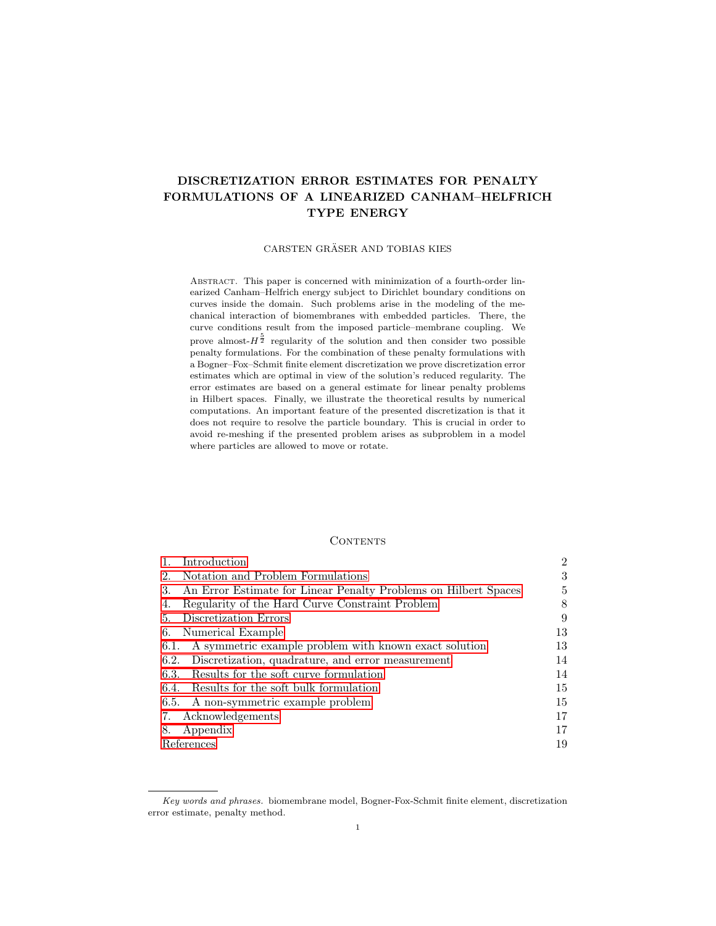# DISCRETIZATION ERROR ESTIMATES FOR PENALTY FORMULATIONS OF A LINEARIZED CANHAM–HELFRICH TYPE ENERGY

## CARSTEN GRÄSER AND TOBIAS KIES

Abstract. This paper is concerned with minimization of a fourth-order linearized Canham–Helfrich energy subject to Dirichlet boundary conditions on curves inside the domain. Such problems arise in the modeling of the mechanical interaction of biomembranes with embedded particles. There, the curve conditions result from the imposed particle–membrane coupling. We prove almost- $H^{\frac{5}{2}}$  regularity of the solution and then consider two possible penalty formulations. For the combination of these penalty formulations with a Bogner–Fox–Schmit finite element discretization we prove discretization error estimates which are optimal in view of the solution's reduced regularity. The error estimates are based on a general estimate for linear penalty problems in Hilbert spaces. Finally, we illustrate the theoretical results by numerical computations. An important feature of the presented discretization is that it does not require to resolve the particle boundary. This is crucial in order to avoid re-meshing if the presented problem arises as subproblem in a model where particles are allowed to move or rotate.

# **CONTENTS**

| Introduction                                                          | $\overline{2}$ |
|-----------------------------------------------------------------------|----------------|
| Notation and Problem Formulations<br>2.                               | 3              |
| An Error Estimate for Linear Penalty Problems on Hilbert Spaces<br>3. | 5              |
| Regularity of the Hard Curve Constraint Problem<br>4.                 | 8              |
| Discretization Errors<br>5.                                           | 9              |
| Numerical Example<br>6.                                               | 13             |
| A symmetric example problem with known exact solution<br>6.1.         | 13             |
| Discretization, quadrature, and error measurement<br>6.2.             | 14             |
| 6.3. Results for the soft curve formulation                           | 14             |
| 6.4. Results for the soft bulk formulation                            | 15             |
| 6.5. A non-symmetric example problem                                  | 15             |
| Acknowledgements<br>7.                                                | 17             |
| Appendix<br>8.                                                        | 17             |
| References                                                            | 19             |

Key words and phrases. biomembrane model, Bogner-Fox-Schmit finite element, discretization error estimate, penalty method.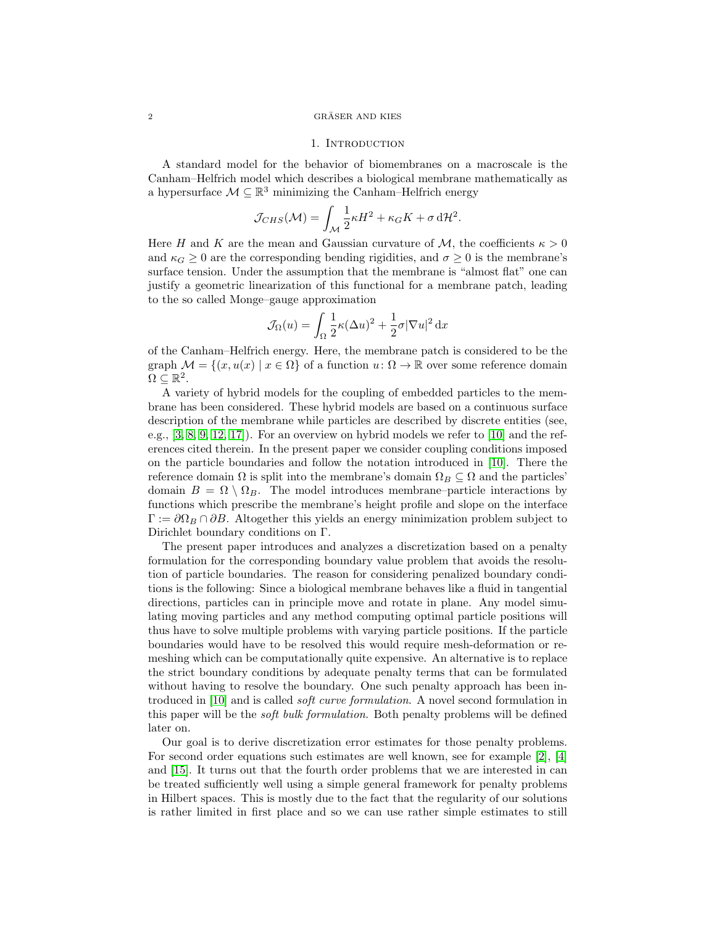#### <span id="page-1-0"></span> $2 \overline{\text{GRÄSER AND KIES}}$

### 1. INTRODUCTION

A standard model for the behavior of biomembranes on a macroscale is the Canham–Helfrich model which describes a biological membrane mathematically as a hypersurface  $\mathcal{M} \subseteq \mathbb{R}^3$  minimizing the Canham–Helfrich energy

$$
\mathcal{J}_{CHS}(\mathcal{M}) = \int_{\mathcal{M}} \frac{1}{2} \kappa H^2 + \kappa_G K + \sigma \, d\mathcal{H}^2.
$$

Here H and K are the mean and Gaussian curvature of M, the coefficients  $\kappa > 0$ and  $\kappa_G \geq 0$  are the corresponding bending rigidities, and  $\sigma \geq 0$  is the membrane's surface tension. Under the assumption that the membrane is "almost flat" one can justify a geometric linearization of this functional for a membrane patch, leading to the so called Monge–gauge approximation

$$
\mathcal{J}_{\Omega}(u) = \int_{\Omega} \frac{1}{2} \kappa (\Delta u)^2 + \frac{1}{2} \sigma |\nabla u|^2 \, \mathrm{d}x
$$

of the Canham–Helfrich energy. Here, the membrane patch is considered to be the graph  $\mathcal{M} = \{(x, u(x) \mid x \in \Omega\} \text{ of a function } u: \Omega \to \mathbb{R} \text{ over some reference domain }\}$  $\Omega \subseteq \mathbb{R}^2$ .

A variety of hybrid models for the coupling of embedded particles to the membrane has been considered. These hybrid models are based on a continuous surface description of the membrane while particles are described by discrete entities (see, e.g.,  $[3, 8, 9, 12, 17]$  $[3, 8, 9, 12, 17]$  $[3, 8, 9, 12, 17]$  $[3, 8, 9, 12, 17]$  $[3, 8, 9, 12, 17]$ . For an overview on hybrid models we refer to  $[10]$  and the references cited therein. In the present paper we consider coupling conditions imposed on the particle boundaries and follow the notation introduced in [\[10\]](#page-19-4). There the reference domain  $\Omega$  is split into the membrane's domain  $\Omega_B \subseteq \Omega$  and the particles' domain  $B = \Omega \setminus \Omega_B$ . The model introduces membrane–particle interactions by functions which prescribe the membrane's height profile and slope on the interface  $\Gamma := \partial \Omega_B \cap \partial B$ . Altogether this yields an energy minimization problem subject to Dirichlet boundary conditions on Γ.

The present paper introduces and analyzes a discretization based on a penalty formulation for the corresponding boundary value problem that avoids the resolution of particle boundaries. The reason for considering penalized boundary conditions is the following: Since a biological membrane behaves like a fluid in tangential directions, particles can in principle move and rotate in plane. Any model simulating moving particles and any method computing optimal particle positions will thus have to solve multiple problems with varying particle positions. If the particle boundaries would have to be resolved this would require mesh-deformation or remeshing which can be computationally quite expensive. An alternative is to replace the strict boundary conditions by adequate penalty terms that can be formulated without having to resolve the boundary. One such penalty approach has been introduced in [\[10\]](#page-19-4) and is called soft curve formulation. A novel second formulation in this paper will be the soft bulk formulation. Both penalty problems will be defined later on.

Our goal is to derive discretization error estimates for those penalty problems. For second order equations such estimates are well known, see for example [\[2\]](#page-18-2), [\[4\]](#page-18-3) and [\[15\]](#page-19-5). It turns out that the fourth order problems that we are interested in can be treated sufficiently well using a simple general framework for penalty problems in Hilbert spaces. This is mostly due to the fact that the regularity of our solutions is rather limited in first place and so we can use rather simple estimates to still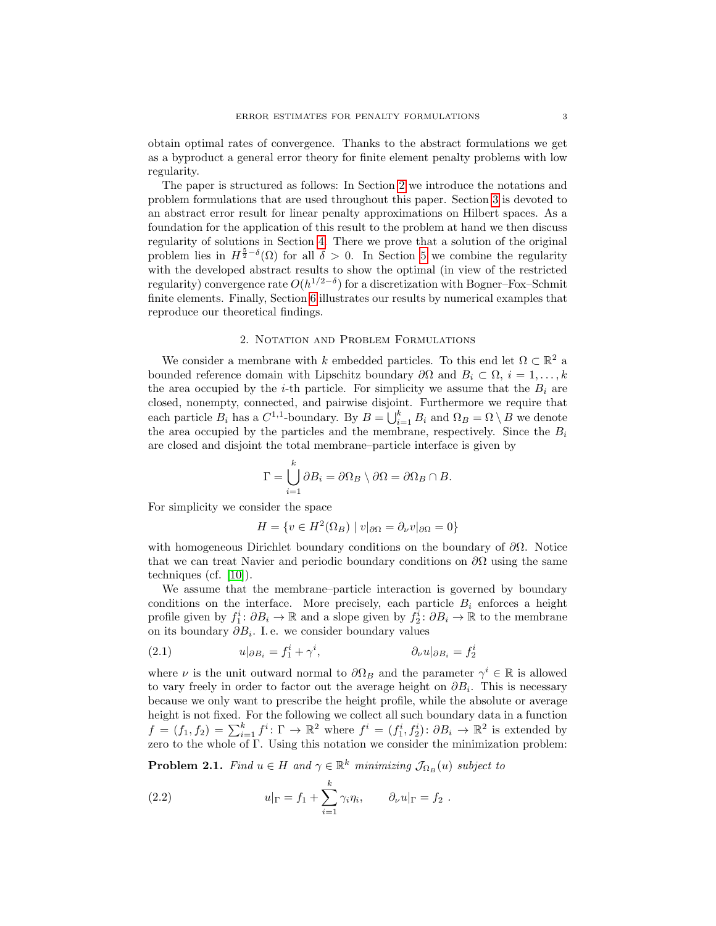obtain optimal rates of convergence. Thanks to the abstract formulations we get as a byproduct a general error theory for finite element penalty problems with low regularity.

The paper is structured as follows: In Section [2](#page-2-0) we introduce the notations and problem formulations that are used throughout this paper. Section [3](#page-4-0) is devoted to an abstract error result for linear penalty approximations on Hilbert spaces. As a foundation for the application of this result to the problem at hand we then discuss regularity of solutions in Section [4.](#page-7-0) There we prove that a solution of the original problem lies in  $H^{\frac{5}{2}-\delta}(\Omega)$  for all  $\delta > 0$ . In Section [5](#page-8-0) we combine the regularity with the developed abstract results to show the optimal (in view of the restricted regularity) convergence rate  $O(h^{1/2-\delta})$  for a discretization with Bogner–Fox–Schmit finite elements. Finally, Section [6](#page-12-0) illustrates our results by numerical examples that reproduce our theoretical findings.

## 2. Notation and Problem Formulations

<span id="page-2-0"></span>We consider a membrane with k embedded particles. To this end let  $\Omega \subset \mathbb{R}^2$  a bounded reference domain with Lipschitz boundary  $\partial\Omega$  and  $B_i \subset \Omega$ ,  $i = 1, ..., k$ the area occupied by the *i*-th particle. For simplicity we assume that the  $B_i$  are closed, nonempty, connected, and pairwise disjoint. Furthermore we require that each particle  $B_i$  has a  $C^{1,1}$ -boundary. By  $B = \bigcup_{i=1}^k B_i$  and  $\Omega_B = \Omega \setminus B$  we denote the area occupied by the particles and the membrane, respectively. Since the  $B_i$ are closed and disjoint the total membrane–particle interface is given by

$$
\Gamma = \bigcup_{i=1}^{n} \partial B_i = \partial \Omega_B \setminus \partial \Omega = \partial \Omega_B \cap B.
$$

For simplicity we consider the space

$$
H = \{ v \in H^{2}(\Omega_{B}) \mid v|_{\partial \Omega} = \partial_{\nu} v|_{\partial \Omega} = 0 \}
$$

with homogeneous Dirichlet boundary conditions on the boundary of  $\partial\Omega$ . Notice that we can treat Navier and periodic boundary conditions on  $\partial\Omega$  using the same techniques (cf. [\[10\]](#page-19-4)).

We assume that the membrane–particle interaction is governed by boundary conditions on the interface. More precisely, each particle  $B_i$  enforces a height profile given by  $f_1^i: \partial B_i \to \mathbb{R}$  and a slope given by  $f_2^i: \partial B_i \to \mathbb{R}$  to the membrane on its boundary  $\partial B_i$ . I.e. we consider boundary values

<span id="page-2-3"></span>(2.1) 
$$
u|_{\partial B_i} = f_1^i + \gamma^i, \qquad \partial_\nu u|_{\partial B_i} = f_2^i
$$

<sub>k</sub>

where  $\nu$  is the unit outward normal to  $\partial\Omega_B$  and the parameter  $\gamma^i \in \mathbb{R}$  is allowed to vary freely in order to factor out the average height on  $\partial B_i$ . This is necessary because we only want to prescribe the height profile, while the absolute or average height is not fixed. For the following we collect all such boundary data in a function  $f = (f_1, f_2) = \sum_{i=1}^k f^i \colon \Gamma \to \mathbb{R}^2$  where  $f^i = (f_1^i, f_2^i) \colon \partial B_i \to \mathbb{R}^2$  is extended by zero to the whole of Γ. Using this notation we consider the minimization problem:

<span id="page-2-1"></span>**Problem 2.1.** Find  $u \in H$  and  $\gamma \in \mathbb{R}^k$  minimizing  $\mathcal{J}_{\Omega_B}(u)$  subject to

<span id="page-2-2"></span>(2.2) 
$$
u|_{\Gamma} = f_1 + \sum_{i=1}^k \gamma_i \eta_i, \qquad \partial_{\nu} u|_{\Gamma} = f_2.
$$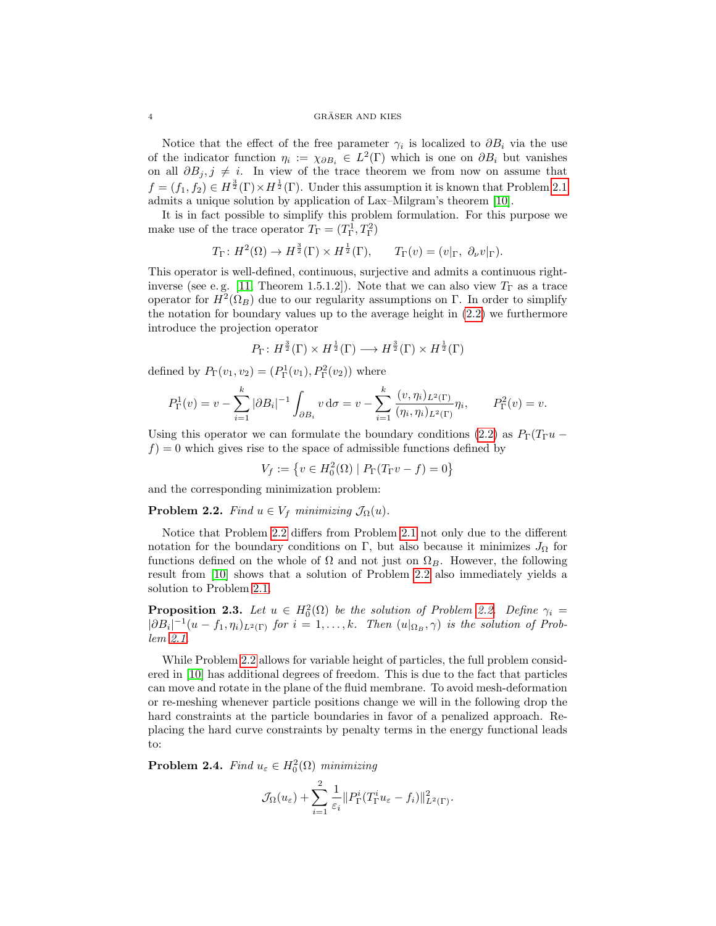#### $4 \overline{\text{GRÄSER AND KIES}}$

Notice that the effect of the free parameter  $\gamma_i$  is localized to  $\partial B_i$  via the use of the indicator function  $\eta_i := \chi_{\partial B_i} \in L^2(\Gamma)$  which is one on  $\partial B_i$  but vanishes on all  $\partial B_j$ ,  $j \neq i$ . In view of the trace theorem we from now on assume that  $f = (f_1, f_2) \in H^{\frac{3}{2}}(\Gamma) \times H^{\frac{1}{2}}(\Gamma)$ . Under this assumption it is known that Problem [2.1](#page-2-1) admits a unique solution by application of Lax–Milgram's theorem [\[10\]](#page-19-4).

It is in fact possible to simplify this problem formulation. For this purpose we make use of the trace operator  $T_{\Gamma} = (T_{\Gamma}^1, T_{\Gamma}^2)$ 

$$
T_{\Gamma}: H^2(\Omega) \to H^{\frac{3}{2}}(\Gamma) \times H^{\frac{1}{2}}(\Gamma), \qquad T_{\Gamma}(v) = (v|_{\Gamma}, \partial_{\nu}v|_{\Gamma}).
$$

This operator is well-defined, continuous, surjective and admits a continuous right-inverse (see e.g. [\[11,](#page-19-6) Theorem 1.5.1.2]). Note that we can also view  $T_{\Gamma}$  as a trace operator for  $H^2(\Omega_B)$  due to our regularity assumptions on Γ. In order to simplify the notation for boundary values up to the average height in [\(2.2\)](#page-2-2) we furthermore introduce the projection operator

$$
P_{\Gamma}: H^{\frac{3}{2}}(\Gamma) \times H^{\frac{1}{2}}(\Gamma) \longrightarrow H^{\frac{3}{2}}(\Gamma) \times H^{\frac{1}{2}}(\Gamma)
$$

defined by  $P_{\Gamma}(v_1, v_2) = (P_{\Gamma}^1(v_1), P_{\Gamma}^2(v_2))$  where

$$
P_{\Gamma}^{1}(v) = v - \sum_{i=1}^{k} |\partial B_{i}|^{-1} \int_{\partial B_{i}} v \, d\sigma = v - \sum_{i=1}^{k} \frac{(v, \eta_{i})_{L^{2}(\Gamma)}}{(\eta_{i}, \eta_{i})_{L^{2}(\Gamma)}} \eta_{i}, \qquad P_{\Gamma}^{2}(v) = v.
$$

Using this operator we can formulate the boundary conditions [\(2.2\)](#page-2-2) as  $P_{\Gamma}(T_{\Gamma}u$  $f$ ) = 0 which gives rise to the space of admissible functions defined by

 $V_f := \{ v \in H_0^2(\Omega) \mid P_{\Gamma}(T_{\Gamma}v - f) = 0 \}$ 

and the corresponding minimization problem:

<span id="page-3-0"></span>**Problem 2.2.** Find  $u \in V_f$  minimizing  $\mathcal{J}_{\Omega}(u)$ .

Notice that Problem [2.2](#page-3-0) differs from Problem [2.1](#page-2-1) not only due to the different notation for the boundary conditions on Γ, but also because it minimizes  $J_{\Omega}$  for functions defined on the whole of  $\Omega$  and not just on  $\Omega_B$ . However, the following result from [\[10\]](#page-19-4) shows that a solution of Problem [2.2](#page-3-0) also immediately yields a solution to Problem [2.1.](#page-2-1)

**Proposition 2.3.** Let  $u \in H_0^2(\Omega)$  be the solution of Problem [2.2.](#page-3-0) Define  $\gamma_i =$  $|\partial B_i|^{-1}(u - f_1, \eta_i)_{L^2(\Gamma)}$  for  $i = 1, ..., k$ . Then  $(u|_{\Omega_B}, \gamma)$  is the solution of Problem [2.1.](#page-2-1)

While Problem [2.2](#page-3-0) allows for variable height of particles, the full problem considered in [\[10\]](#page-19-4) has additional degrees of freedom. This is due to the fact that particles can move and rotate in the plane of the fluid membrane. To avoid mesh-deformation or re-meshing whenever particle positions change we will in the following drop the hard constraints at the particle boundaries in favor of a penalized approach. Replacing the hard curve constraints by penalty terms in the energy functional leads to:

<span id="page-3-1"></span>**Problem 2.4.** Find  $u_{\varepsilon} \in H_0^2(\Omega)$  minimizing

$$
\mathcal{J}_{\Omega}(u_{\varepsilon}) + \sum_{i=1}^{2} \frac{1}{\varepsilon_{i}} \| P_{\Gamma}^{i}(T_{\Gamma}^{i} u_{\varepsilon} - f_{i}) \|_{L^{2}(\Gamma)}^{2}.
$$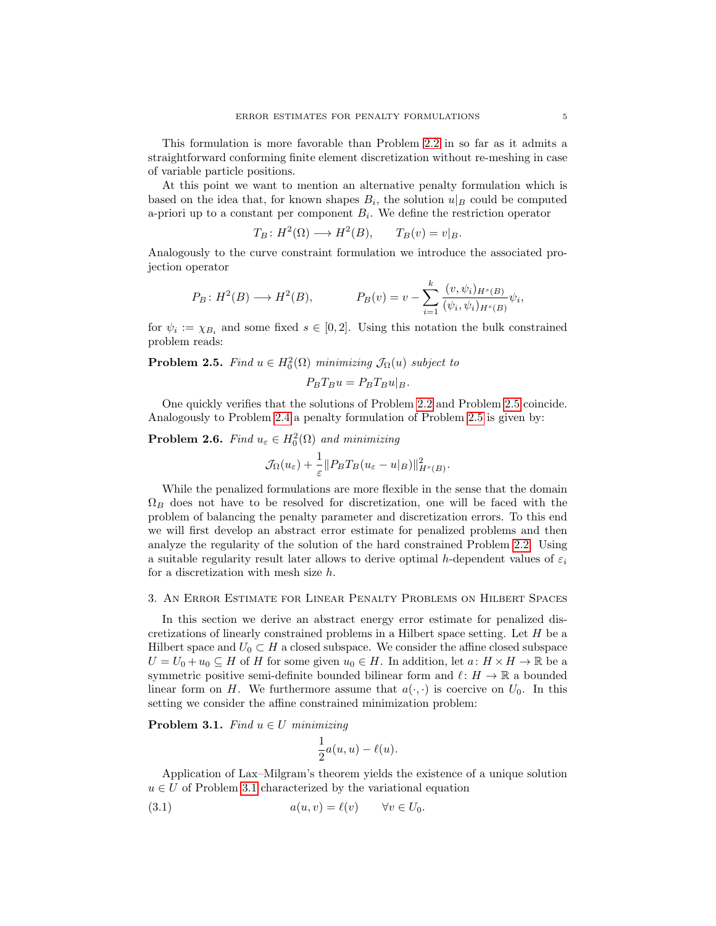This formulation is more favorable than Problem [2.2](#page-3-0) in so far as it admits a straightforward conforming finite element discretization without re-meshing in case of variable particle positions.

At this point we want to mention an alternative penalty formulation which is based on the idea that, for known shapes  $B_i$ , the solution  $u|_B$  could be computed a-priori up to a constant per component  $B_i$ . We define the restriction operator

$$
T_B: H^2(\Omega) \longrightarrow H^2(B), \qquad T_B(v) = v|_B.
$$

Analogously to the curve constraint formulation we introduce the associated projection operator

$$
P_B: H^2(B) \longrightarrow H^2(B),
$$
  $P_B(v) = v - \sum_{i=1}^k \frac{(v, \psi_i)_{H^s(B)}}{(\psi_i, \psi_i)_{H^s(B)}} \psi_i,$ 

for  $\psi_i := \chi_{B_i}$  and some fixed  $s \in [0,2]$ . Using this notation the bulk constrained problem reads:

# <span id="page-4-1"></span>**Problem 2.5.** Find  $u \in H_0^2(\Omega)$  minimizing  $\mathcal{J}_{\Omega}(u)$  subject to

$$
P_B T_B u = P_B T_B u|_B.
$$

One quickly verifies that the solutions of Problem [2.2](#page-3-0) and Problem [2.5](#page-4-1) coincide. Analogously to Problem [2.4](#page-3-1) a penalty formulation of Problem [2.5](#page-4-1) is given by:

<span id="page-4-3"></span>**Problem 2.6.** Find  $u_{\varepsilon} \in H_0^2(\Omega)$  and minimizing

$$
\mathcal{J}_{\Omega}(u_{\varepsilon}) + \frac{1}{\varepsilon} \| P_B T_B (u_{\varepsilon} - u|_B) \|_{H^s(B)}^2.
$$

While the penalized formulations are more flexible in the sense that the domain  $\Omega_B$  does not have to be resolved for discretization, one will be faced with the problem of balancing the penalty parameter and discretization errors. To this end we will first develop an abstract error estimate for penalized problems and then analyze the regularity of the solution of the hard constrained Problem [2.2.](#page-3-0) Using a suitable regularity result later allows to derive optimal h-dependent values of  $\varepsilon_i$ for a discretization with mesh size h.

## <span id="page-4-0"></span>3. An Error Estimate for Linear Penalty Problems on Hilbert Spaces

In this section we derive an abstract energy error estimate for penalized discretizations of linearly constrained problems in a Hilbert space setting. Let H be a Hilbert space and  $U_0 \subset H$  a closed subspace. We consider the affine closed subspace  $U = U_0 + u_0 \subseteq H$  of H for some given  $u_0 \in H$ . In addition, let  $a: H \times H \to \mathbb{R}$  be a symmetric positive semi-definite bounded bilinear form and  $\ell : H \to \mathbb{R}$  a bounded linear form on H. We furthermore assume that  $a(\cdot, \cdot)$  is coercive on  $U_0$ . In this setting we consider the affine constrained minimization problem:

<span id="page-4-2"></span>**Problem 3.1.** Find  $u \in U$  minimizing

$$
\frac{1}{2}a(u,u)-\ell(u).
$$

Application of Lax–Milgram's theorem yields the existence of a unique solution  $u \in U$  of Problem [3.1](#page-4-2) characterized by the variational equation

(3.1) 
$$
a(u, v) = \ell(v) \qquad \forall v \in U_0.
$$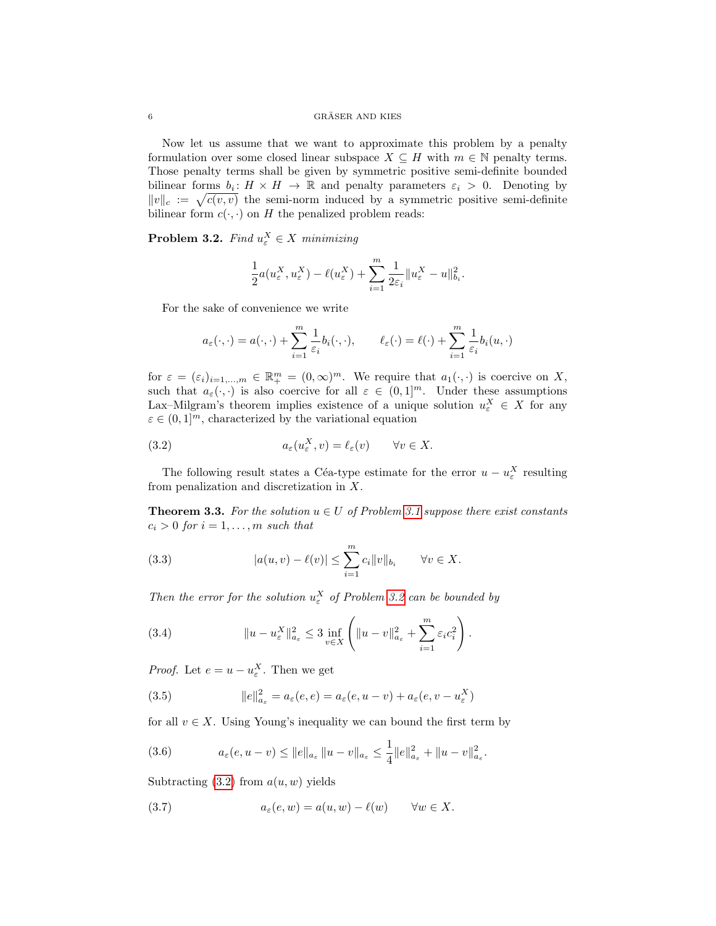## $6$   $\,$  GRÄSER AND KIES  $\,$

Now let us assume that we want to approximate this problem by a penalty formulation over some closed linear subspace  $X \subseteq H$  with  $m \in \mathbb{N}$  penalty terms. Those penalty terms shall be given by symmetric positive semi-definite bounded bilinear forms  $b_i: H \times H \to \mathbb{R}$  and penalty parameters  $\varepsilon_i > 0$ . Denoting by  $||v||_c := \sqrt{c(v, v)}$  the semi-norm induced by a symmetric positive semi-definite bilinear form  $c(\cdot, \cdot)$  on H the penalized problem reads:

<span id="page-5-0"></span>**Problem 3.2.** Find  $u_{\varepsilon}^X \in X$  minimizing

$$
\frac{1}{2}a(u_{\varepsilon}^X,u_{\varepsilon}^X)-\ell(u_{\varepsilon}^X)+\sum_{i=1}^m\frac{1}{2\varepsilon_i}\|u_{\varepsilon}^X-u\|_{b_i}^2.
$$

For the sake of convenience we write

$$
a_{\varepsilon}(\cdot,\cdot)=a(\cdot,\cdot)+\sum_{i=1}^m\frac{1}{\varepsilon_i}b_i(\cdot,\cdot),\qquad \ell_{\varepsilon}(\cdot)=\ell(\cdot)+\sum_{i=1}^m\frac{1}{\varepsilon_i}b_i(u,\cdot)
$$

for  $\varepsilon = (\varepsilon_i)_{i=1,\dots,m} \in \mathbb{R}^m_+ = (0,\infty)^m$ . We require that  $a_1(\cdot,\cdot)$  is coercive on X, such that  $a_{\varepsilon}(\cdot,\cdot)$  is also coercive for all  $\varepsilon \in (0,1]^m$ . Under these assumptions Lax–Milgram's theorem implies existence of a unique solution  $u_{\varepsilon}^X \in X$  for any  $\varepsilon \in (0,1]^m$ , characterized by the variational equation

<span id="page-5-1"></span>(3.2) 
$$
a_{\varepsilon}(u_{\varepsilon}^X, v) = \ell_{\varepsilon}(v) \qquad \forall v \in X.
$$

The following result states a Céa-type estimate for the error  $u - u_{\varepsilon}^X$  resulting from penalization and discretization in X.

<span id="page-5-4"></span>**Theorem 3.3.** For the solution  $u \in U$  of Problem [3.1](#page-4-2) suppose there exist constants  $c_i > 0$  for  $i = 1, \ldots, m$  such that

<span id="page-5-5"></span>(3.3) 
$$
|a(u, v) - \ell(v)| \leq \sum_{i=1}^{m} c_i \|v\|_{b_i} \quad \forall v \in X.
$$

Then the error for the solution  $u_{\varepsilon}^X$  of Problem [3.2](#page-5-0) can be bounded by

(3.4) 
$$
||u - u_{\varepsilon}^{X}||_{a_{\varepsilon}}^{2} \leq 3 \inf_{v \in X} \left( ||u - v||_{a_{\varepsilon}}^{2} + \sum_{i=1}^{m} \varepsilon_{i} c_{i}^{2} \right).
$$

*Proof.* Let  $e = u - u_{\varepsilon}^X$ . Then we get

<span id="page-5-3"></span>(3.5) 
$$
||e||_{a_{\varepsilon}}^2 = a_{\varepsilon}(e, e) = a_{\varepsilon}(e, u - v) + a_{\varepsilon}(e, v - u_{\varepsilon}^X)
$$

for all  $v \in X$ . Using Young's inequality we can bound the first term by

<span id="page-5-2"></span>(3.6) 
$$
a_{\varepsilon}(e, u - v) \leq ||e||_{a_{\varepsilon}} ||u - v||_{a_{\varepsilon}} \leq \frac{1}{4} ||e||_{a_{\varepsilon}}^2 + ||u - v||_{a_{\varepsilon}}^2.
$$

Subtracting  $(3.2)$  from  $a(u, w)$  yields

(3.7) 
$$
a_{\varepsilon}(e, w) = a(u, w) - \ell(w) \quad \forall w \in X.
$$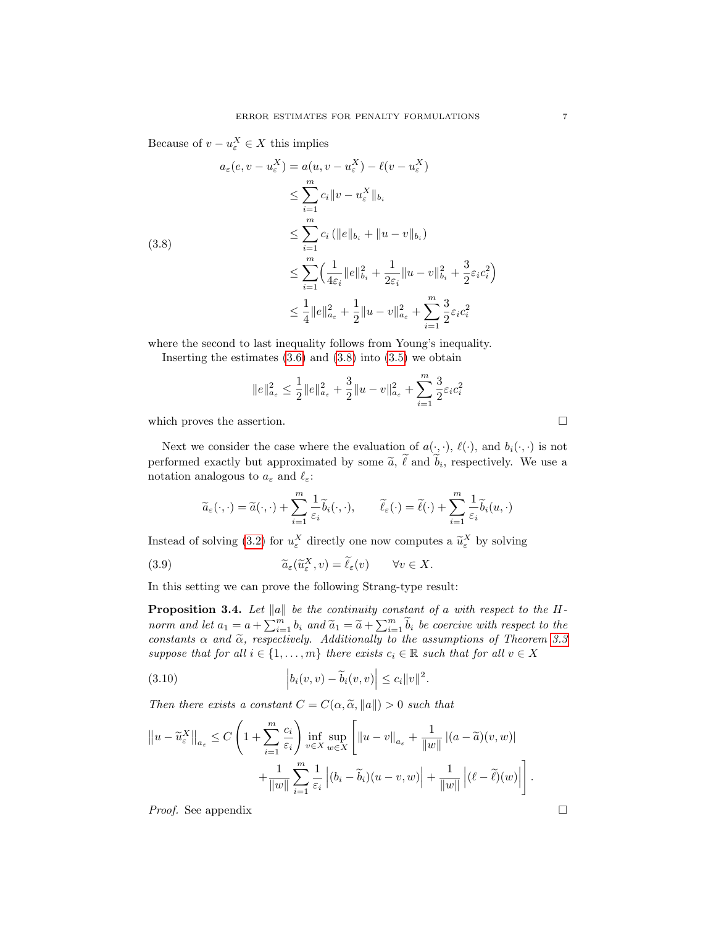Because of  $v - u_{\varepsilon}^X \in X$  this implies

<span id="page-6-0"></span>
$$
a_{\varepsilon}(e, v - u_{\varepsilon}^{X}) = a(u, v - u_{\varepsilon}^{X}) - \ell(v - u_{\varepsilon}^{X})
$$
  
\n
$$
\leq \sum_{i=1}^{m} c_{i} \|v - u_{\varepsilon}^{X}\|_{b_{i}}
$$
  
\n
$$
\leq \sum_{i=1}^{m} c_{i} (||e||_{b_{i}} + ||u - v||_{b_{i}})
$$
  
\n
$$
\leq \sum_{i=1}^{m} \left(\frac{1}{4\varepsilon_{i}} ||e||_{b_{i}}^{2} + \frac{1}{2\varepsilon_{i}} ||u - v||_{b_{i}}^{2} + \frac{3}{2}\varepsilon_{i}c_{i}^{2}\right)
$$
  
\n
$$
\leq \frac{1}{4} ||e||_{a_{\varepsilon}}^{2} + \frac{1}{2} ||u - v||_{a_{\varepsilon}}^{2} + \sum_{i=1}^{m} \frac{3}{2}\varepsilon_{i}c_{i}^{2}
$$

where the second to last inequality follows from Young's inequality.

Inserting the estimates  $(3.6)$  and  $(3.8)$  into  $(3.5)$  we obtain

$$
\|e\|_{a_\varepsilon}^2 \leq \frac{1}{2}\|e\|_{a_\varepsilon}^2 + \frac{3}{2}\|u-v\|_{a_\varepsilon}^2 + \sum_{i=1}^m \frac{3}{2}\varepsilon_i c_i^2
$$

which proves the assertion.  $\hfill \square$ 

Next we consider the case where the evaluation of  $a(\cdot, \cdot)$ ,  $\ell(\cdot)$ , and  $b_i(\cdot, \cdot)$  is not performed exactly but approximated by some  $\tilde{a}$ ,  $\ell$  and  $b_i$ , respectively. We use a notation applexe to  $a_i$  and  $\ell$ . notation analogous to  $a_{\varepsilon}$  and  $\ell_{\varepsilon}$ :

$$
\widetilde{a}_{\varepsilon}(\cdot,\cdot)=\widetilde{a}(\cdot,\cdot)+\sum_{i=1}^{m}\frac{1}{\varepsilon_{i}}\widetilde{b}_{i}(\cdot,\cdot),\qquad \widetilde{\ell}_{\varepsilon}(\cdot)=\widetilde{\ell}(\cdot)+\sum_{i=1}^{m}\frac{1}{\varepsilon_{i}}\widetilde{b}_{i}(u,\cdot)
$$

Instead of solving [\(3.2\)](#page-5-1) for  $u_{\varepsilon}^X$  directly one now computes a  $\widetilde{u}_{\varepsilon}^X$  by solving

<span id="page-6-3"></span>(3.9) 
$$
\widetilde{a}_{\varepsilon}(\widetilde{u}_{\varepsilon}^{X}, v) = \widetilde{\ell}_{\varepsilon}(v) \qquad \forall v \in X.
$$

<span id="page-6-1"></span>In this setting we can prove the following Strang-type result:

**Proposition 3.4.** Let  $\|a\|$  be the continuity constant of a with respect to the Hnorm and let  $a_1 = a + \sum_{i=1}^m b_i$  and  $\widetilde{a}_1 = \widetilde{a} + \sum_{i=1}^m \widetilde{b}_i$  be coercive with respect to the constants  $\alpha$  and  $\tilde{\alpha}$ , respectively. Additionally to the assumptions of Theorem [3.3](#page-5-4) suppose that for all  $i \in \{1, \ldots, m\}$  there exists  $c_i \in \mathbb{R}$  such that for all  $v \in X$ 

<span id="page-6-2"></span>(3.10) 
$$
\left| b_i(v,v) - \widetilde{b}_i(v,v) \right| \leq c_i \|v\|^2.
$$

Then there exists a constant  $C = C(\alpha, \tilde{\alpha}, ||a||) > 0$  such that

$$
||u - \widetilde{u}_{\varepsilon}^{X}||_{a_{\varepsilon}} \leq C \left( 1 + \sum_{i=1}^{m} \frac{c_{i}}{\varepsilon_{i}} \right) \inf_{v \in X} \sup_{w \in X} \left[ ||u - v||_{a_{\varepsilon}} + \frac{1}{||w||} |(a - \widetilde{a})(v, w)| + \frac{1}{||w||} \sum_{i=1}^{m} \frac{1}{\varepsilon_{i}} |(b_{i} - \widetilde{b}_{i})(u - v, w)| + \frac{1}{||w||} |(\ell - \widetilde{\ell})(w)| \right].
$$

*Proof.* See appendix □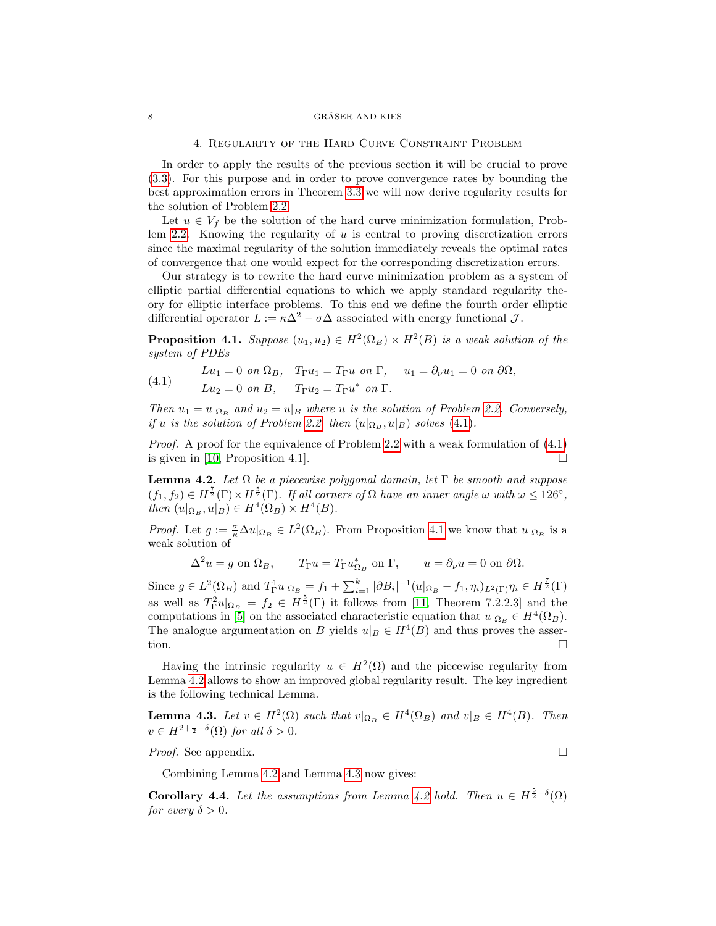#### <span id="page-7-0"></span> $\begin{array}{ll}\n 8 \\
\times \text{GRÄSER AND KIES}\n \end{array}$

### 4. Regularity of the Hard Curve Constraint Problem

In order to apply the results of the previous section it will be crucial to prove [\(3.3\)](#page-5-5). For this purpose and in order to prove convergence rates by bounding the best approximation errors in Theorem [3.3](#page-5-4) we will now derive regularity results for the solution of Problem [2.2.](#page-3-0)

Let  $u \in V_f$  be the solution of the hard curve minimization formulation, Prob-lem [2.2.](#page-3-0) Knowing the regularity of  $u$  is central to proving discretization errors since the maximal regularity of the solution immediately reveals the optimal rates of convergence that one would expect for the corresponding discretization errors.

Our strategy is to rewrite the hard curve minimization problem as a system of elliptic partial differential equations to which we apply standard regularity theory for elliptic interface problems. To this end we define the fourth order elliptic differential operator  $L := \kappa \Delta^2 - \sigma \Delta$  associated with energy functional  $\mathcal{J}$ .

<span id="page-7-2"></span>**Proposition 4.1.** Suppose  $(u_1, u_2) \in H^2(\Omega_B) \times H^2(B)$  is a weak solution of the system of PDEs

<span id="page-7-1"></span>(4.1) 
$$
Lu_1 = 0 \text{ on } \Omega_B, \quad T_{\Gamma}u_1 = T_{\Gamma}u \text{ on } \Gamma, \quad u_1 = \partial_{\nu}u_1 = 0 \text{ on } \partial\Omega,
$$

$$
Lu_2 = 0 \text{ on } B, \quad T_{\Gamma}u_2 = T_{\Gamma}u^* \text{ on } \Gamma.
$$

Then  $u_1 = u|_{\Omega_B}$  and  $u_2 = u|_B$  where u is the solution of Problem [2.2.](#page-3-0) Conversely, if u is the solution of Problem [2.2,](#page-3-0) then  $(u|_{\Omega_B}, u|_B)$  solves [\(4.1\)](#page-7-1).

*Proof.* A proof for the equivalence of Problem [2.2](#page-3-0) with a weak formulation of  $(4.1)$ is given in [\[10,](#page-19-4) Proposition 4.1].

<span id="page-7-3"></span>**Lemma 4.2.** Let  $\Omega$  be a piecewise polygonal domain, let  $\Gamma$  be smooth and suppose  $(f_1, f_2) \in H^{\frac{7}{2}}(\Gamma) \times H^{\frac{5}{2}}(\Gamma)$ . If all corners of  $\Omega$  have an inner angle  $\omega$  with  $\omega \leq 126^{\circ}$ , then  $(u|_{\Omega_B}, u|_B) \in H^4(\Omega_B) \times H^4(B)$ .

*Proof.* Let  $g := \frac{\sigma}{\kappa} \Delta u|_{\Omega_B} \in L^2(\Omega_B)$ . From Proposition [4.1](#page-7-2) we know that  $u|_{\Omega_B}$  is a weak solution of

$$
\Delta^2 u = g \text{ on } \Omega_B, \qquad T_{\Gamma} u = T_{\Gamma} u_{\Omega_B}^* \text{ on } \Gamma, \qquad u = \partial_{\nu} u = 0 \text{ on } \partial \Omega.
$$

Since  $g \in L^2(\Omega_B)$  and  $T_{\Gamma}^1 u|_{\Omega_B} = f_1 + \sum_{i=1}^k |\partial B_i|^{-1} (u|_{\Omega_B} - f_1, \eta_i)_{L^2(\Gamma)} \eta_i \in H^{\frac{7}{2}}(\Gamma)$ as well as  $T_{\Gamma}^2 u|_{\Omega_B} = f_2 \in H^{\frac{5}{2}}(\Gamma)$  it follows from [\[11,](#page-19-6) Theorem 7.2.2.3] and the computations in [\[5\]](#page-18-4) on the associated characteristic equation that  $u|_{\Omega_B} \in H^4(\Omega_B)$ . The analogue argumentation on B yields  $u|_B \in H^4(B)$  and thus proves the assertion.

Having the intrinsic regularity  $u \in H^2(\Omega)$  and the piecewise regularity from Lemma [4.2](#page-7-3) allows to show an improved global regularity result. The key ingredient is the following technical Lemma.

<span id="page-7-4"></span>**Lemma 4.3.** Let  $v \in H^2(\Omega)$  such that  $v|_{\Omega_B} \in H^4(\Omega_B)$  and  $v|_B \in H^4(B)$ . Then  $v \in H^{2+\frac{1}{2}-\delta}(\Omega)$  for all  $\delta > 0$ .

*Proof.* See appendix. □

Combining Lemma [4.2](#page-7-3) and Lemma [4.3](#page-7-4) now gives:

<span id="page-7-5"></span>**Corollary 4.4.** Let the assumptions from Lemma [4.2](#page-7-3) hold. Then  $u \in H^{\frac{5}{2}-\delta}(\Omega)$ for every  $\delta > 0$ .

$$
\overline{\phantom{0}}
$$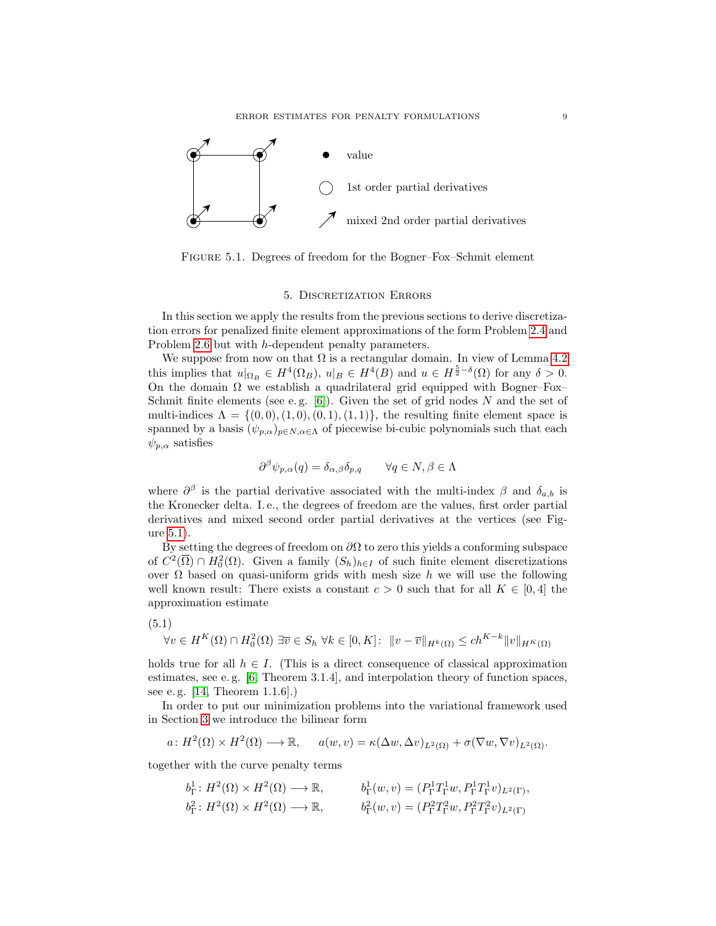

Figure 5.1. Degrees of freedom for the Bogner–Fox–Schmit element

## <span id="page-8-1"></span>5. Discretization Errors

<span id="page-8-0"></span>In this section we apply the results from the previous sections to derive discretization errors for penalized finite element approximations of the form Problem [2.4](#page-3-1) and Problem [2.6](#page-4-3) but with h-dependent penalty parameters.

We suppose from now on that  $\Omega$  is a rectangular domain. In view of Lemma [4.2](#page-7-3) this implies that  $u|_{\Omega_B} \in H^4(\Omega_B)$ ,  $u|_B \in H^4(B)$  and  $u \in H^{\frac{5}{2}-\delta}(\Omega)$  for any  $\delta > 0$ . On the domain  $\Omega$  we establish a quadrilateral grid equipped with Bogner–Fox– Schmit finite elements (see e.g.  $[6]$ ). Given the set of grid nodes N and the set of multi-indices  $\Lambda = \{(0,0), (1,0), (0,1), (1,1)\}\text{, the resulting finite element space is }$ spanned by a basis  $(\psi_{p,\alpha})_{p \in N, \alpha \in \Lambda}$  of piecewise bi-cubic polynomials such that each  $\psi_{p,\alpha}$  satisfies

$$
\partial^{\beta} \psi_{p,\alpha}(q) = \delta_{\alpha,\beta} \delta_{p,q} \qquad \forall q \in N, \beta \in \Lambda
$$

where  $\partial^{\beta}$  is the partial derivative associated with the multi-index  $\beta$  and  $\delta_{a,b}$  is the Kronecker delta. I. e., the degrees of freedom are the values, first order partial derivatives and mixed second order partial derivatives at the vertices (see Figure [5.1\)](#page-8-1).

By setting the degrees of freedom on  $\partial\Omega$  to zero this yields a conforming subspace of  $C^2(\overline{\Omega}) \cap H_0^2(\Omega)$ . Given a family  $(S_h)_{h \in I}$  of such finite element discretizations over  $\Omega$  based on quasi-uniform grids with mesh size h we will use the following well known result: There exists a constant  $c > 0$  such that for all  $K \in [0, 4]$  the approximation estimate

<span id="page-8-2"></span>
$$
(5.1)
$$

$$
\forall v \in H^K(\Omega) \cap H_0^2(\Omega) \exists \overline{v} \in S_h \,\,\forall k \in [0, K]: \,\,\|v - \overline{v}\|_{H^k(\Omega)} \le ch^{K-k} \|v\|_{H^K(\Omega)}
$$

holds true for all  $h \in I$ . (This is a direct consequence of classical approximation estimates, see e.g.  $[6,$  Theorem 3.1.4], and interpolation theory of function spaces, see e. g. [\[14,](#page-19-7) Theorem 1.1.6].)

In order to put our minimization problems into the variational framework used in Section [3](#page-4-0) we introduce the bilinear form

$$
a\colon H^2(\Omega)\times H^2(\Omega)\longrightarrow \mathbb{R},\qquad a(w,v)=\kappa(\Delta w,\Delta v)_{L^2(\Omega)}+\sigma(\nabla w,\nabla v)_{L^2(\Omega)}.
$$

together with the curve penalty terms

$$
b_{\Gamma}^1: H^2(\Omega) \times H^2(\Omega) \longrightarrow \mathbb{R}, \qquad b_{\Gamma}^1(w, v) = (P_{\Gamma}^1 T_{\Gamma}^1 w, P_{\Gamma}^1 T_{\Gamma}^1 v)_{L^2(\Gamma)},
$$
  
\n
$$
b_{\Gamma}^2: H^2(\Omega) \times H^2(\Omega) \longrightarrow \mathbb{R}, \qquad b_{\Gamma}^2(w, v) = (P_{\Gamma}^2 T_{\Gamma}^2 w, P_{\Gamma}^2 T_{\Gamma}^2 v)_{L^2(\Gamma)}
$$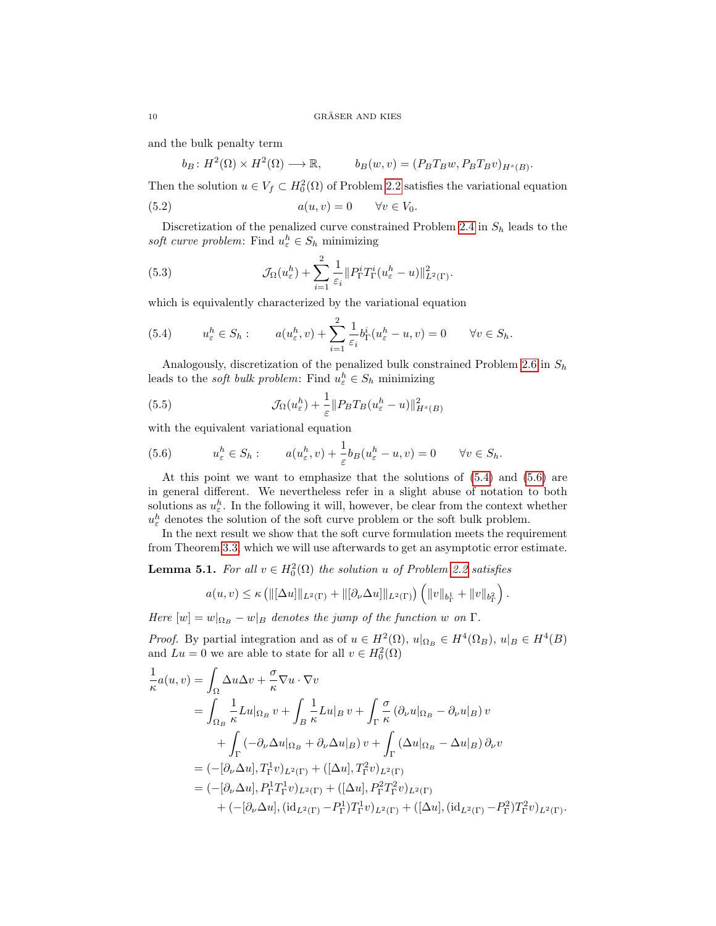and the bulk penalty term

$$
b_B: H^2(\Omega) \times H^2(\Omega) \longrightarrow \mathbb{R}, \qquad b_B(w, v) = (P_B T_B w, P_B T_B v)_{H^s(B)}.
$$

Then the solution  $u \in V_f \subset H_0^2(\Omega)$  of Problem [2.2](#page-3-0) satisfies the variational equation

<span id="page-9-2"></span>(5.2) 
$$
a(u,v) = 0 \qquad \forall v \in V_0.
$$

Discretization of the penalized curve constrained Problem [2.4](#page-3-1) in  $S_h$  leads to the soft curve problem: Find  $u_{\varepsilon}^h \in S_h$  minimizing

<span id="page-9-3"></span>(5.3) 
$$
\mathcal{J}_{\Omega}(u_{\varepsilon}^h) + \sum_{i=1}^2 \frac{1}{\varepsilon_i} \| P_{\Gamma}^i T_{\Gamma}^i (u_{\varepsilon}^h - u) \|_{L^2(\Gamma)}^2.
$$

which is equivalently characterized by the variational equation

<span id="page-9-0"></span>(5.4) 
$$
u_{\varepsilon}^{h} \in S_{h}: \qquad a(u_{\varepsilon}^{h}, v) + \sum_{i=1}^{2} \frac{1}{\varepsilon_{i}} b_{\Gamma}^{i} (u_{\varepsilon}^{h} - u, v) = 0 \qquad \forall v \in S_{h}.
$$

Analogously, discretization of the penalized bulk constrained Problem [2.6](#page-4-3) in  $S_h$ leads to the *soft bulk problem*: Find  $u_{\varepsilon}^h \in S_h$  minimizing

<span id="page-9-4"></span>(5.5) 
$$
\mathcal{J}_{\Omega}(u_{\varepsilon}^{h}) + \frac{1}{\varepsilon} \| P_{B} T_{B} (u_{\varepsilon}^{h} - u) \|_{H^{s}(B)}^{2}
$$

with the equivalent variational equation

<span id="page-9-1"></span>(5.6) 
$$
u_{\varepsilon}^{h} \in S_{h}: \qquad a(u_{\varepsilon}^{h}, v) + \frac{1}{\varepsilon}b_{B}(u_{\varepsilon}^{h} - u, v) = 0 \qquad \forall v \in S_{h}.
$$

At this point we want to emphasize that the solutions of [\(5.4\)](#page-9-0) and [\(5.6\)](#page-9-1) are in general different. We nevertheless refer in a slight abuse of notation to both solutions as  $u_{\varepsilon}^h$ . In the following it will, however, be clear from the context whether  $u_{\varepsilon}^{h}$  denotes the solution of the soft curve problem or the soft bulk problem.

In the next result we show that the soft curve formulation meets the requirement from Theorem [3.3,](#page-5-4) which we will use afterwards to get an asymptotic error estimate.

<span id="page-9-5"></span>**Lemma 5.1.** For all  $v \in H_0^2(\Omega)$  the solution u of Problem [2.2](#page-3-0) satisfies

$$
a(u, v) \le \kappa \left( \|[\Delta u]\|_{L^2(\Gamma)} + \|[\partial_\nu \Delta u]\|_{L^2(\Gamma)} \right) \left( \|v\|_{b_\Gamma^1} + \|v\|_{b_\Gamma^2} \right).
$$

Here  $[w] = w|_{\Omega_B} - w|_B$  denotes the jump of the function w on  $\Gamma$ .

*Proof.* By partial integration and as of  $u \in H^2(\Omega)$ ,  $u|_{\Omega_B} \in H^4(\Omega_B)$ ,  $u|_B \in H^4(B)$ and  $Lu = 0$  we are able to state for all  $v \in H_0^2(\Omega)$ 

$$
\frac{1}{\kappa}a(u,v) = \int_{\Omega}\Delta u \Delta v + \frac{\sigma}{\kappa} \nabla u \cdot \nabla v
$$
\n
$$
= \int_{\Omega_B} \frac{1}{\kappa} Lu|_{\Omega_B} v + \int_B \frac{1}{\kappa} Lu|_{B} v + \int_{\Gamma} \frac{\sigma}{\kappa} (\partial_{\nu} u|_{\Omega_B} - \partial_{\nu} u|_{B}) v
$$
\n
$$
+ \int_{\Gamma} (-\partial_{\nu} \Delta u|_{\Omega_B} + \partial_{\nu} \Delta u|_{B}) v + \int_{\Gamma} (\Delta u|_{\Omega_B} - \Delta u|_{B}) \partial_{\nu} v
$$
\n
$$
= (-[\partial_{\nu} \Delta u], T_{\Gamma}^1 v)_{L^2(\Gamma)} + ([\Delta u], T_{\Gamma}^2 v)_{L^2(\Gamma)}
$$
\n
$$
= (-[\partial_{\nu} \Delta u], P_{\Gamma}^1 T_{\Gamma}^1 v)_{L^2(\Gamma)} + ([\Delta u], P_{\Gamma}^2 T_{\Gamma}^2 v)_{L^2(\Gamma)}
$$
\n
$$
+ (-[\partial_{\nu} \Delta u], (id_{L^2(\Gamma)} - P_{\Gamma}^1) T_{\Gamma}^1 v)_{L^2(\Gamma)} + ([\Delta u], (id_{L^2(\Gamma)} - P_{\Gamma}^2) T_{\Gamma}^2 v)_{L^2(\Gamma)}.
$$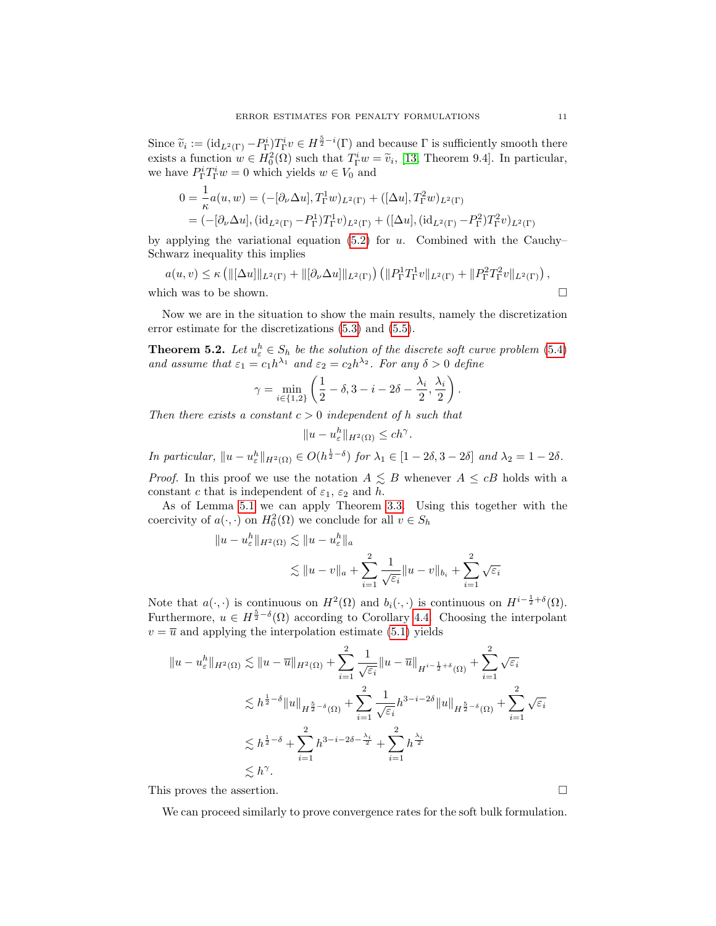Since  $\tilde{v}_i := (\mathrm{id}_{L^2(\Gamma)} - P_{\Gamma}^i) T_{\Gamma}^i v \in H^{\frac{5}{2} - i}(\Gamma)$  and because  $\Gamma$  is sufficiently smooth there exists a function  $w \in H_0^2(\Omega)$  such that  $T_1^iw = \tilde{v}_i$ , [\[13,](#page-19-8) Theorem 9.4]. In particular, we have  $P_{\Gamma}^i T_{\Gamma}^i w = 0$  which yields  $w \in V_0$  and

$$
0 = \frac{1}{\kappa} a(u, w) = (-[\partial_{\nu} \Delta u], T_{\Gamma}^{1} w)_{L^{2}(\Gamma)} + ([\Delta u], T_{\Gamma}^{2} w)_{L^{2}(\Gamma)}
$$
  
= (-[\partial\_{\nu} \Delta u], (id<sub>L^{2}(\Gamma) - P\_{\Gamma}^{1}) T\_{\Gamma}^{1} v)\_{L^{2}(\Gamma)} + ([\Delta u], (id<sub>L^{2}(\Gamma) - P\_{\Gamma}^{2}) T\_{\Gamma}^{2} v)\_{L^{2}(\Gamma)}</sub></sub>

by applying the variational equation  $(5.2)$  for u. Combined with the Cauchy– Schwarz inequality this implies

$$
a(u,v) \le \kappa \left( \left\| [\Delta u] \right\|_{L^2(\Gamma)} + \left\| [\partial_\nu \Delta u] \right\|_{L^2(\Gamma)} \right) \left( \left\| P_\Gamma^1 T_\Gamma^1 v \right\|_{L^2(\Gamma)} + \left\| P_\Gamma^2 T_\Gamma^2 v \right\|_{L^2(\Gamma)} \right),
$$
\nwhich was to be shown.

\n
$$
\Box
$$

Now we are in the situation to show the main results, namely the discretization error estimate for the discretizations [\(5.3\)](#page-9-3) and [\(5.5\)](#page-9-4).

<span id="page-10-1"></span>**Theorem 5.2.** Let  $u_{\varepsilon}^h \in S_h$  be the solution of the discrete soft curve problem [\(5.4\)](#page-9-0) and assume that  $\varepsilon_1 = c_1 h^{\lambda_1}$  and  $\varepsilon_2 = c_2 h^{\lambda_2}$ . For any  $\delta > 0$  define

$$
\gamma = \min_{i \in \{1,2\}} \left( \frac{1}{2} - \delta, 3 - i - 2\delta - \frac{\lambda_i}{2}, \frac{\lambda_i}{2} \right).
$$

Then there exists a constant  $c > 0$  independent of h such that

$$
||u - u_{\varepsilon}^h||_{H^2(\Omega)} \le ch^\gamma.
$$

In particular,  $||u - u_{\varepsilon}^h||_{H^2(\Omega)} \in O(h^{\frac{1}{2}-\delta})$  for  $\lambda_1 \in [1-2\delta, 3-2\delta]$  and  $\lambda_2 = 1-2\delta$ .

*Proof.* In this proof we use the notation  $A \leq B$  whenever  $A \leq cB$  holds with a constant c that is independent of  $\varepsilon_1$ ,  $\varepsilon_2$  and h.

As of Lemma [5.1](#page-9-5) we can apply Theorem [3.3.](#page-5-4) Using this together with the coercivity of  $a(\cdot, \cdot)$  on  $H_0^2(\Omega)$  we conclude for all  $v \in S_h$ 

$$
u - u_{\varepsilon}^{h} \|_{H^{2}(\Omega)} \lesssim \|u - u_{\varepsilon}^{h}\|_{a}
$$
  

$$
\lesssim \|u - v\|_{a} + \sum_{i=1}^{2} \frac{1}{\sqrt{\varepsilon_{i}}} \|u - v\|_{b_{i}} + \sum_{i=1}^{2} \sqrt{\varepsilon_{i}}
$$

Note that  $a(\cdot, \cdot)$  is continuous on  $H^2(\Omega)$  and  $b_i(\cdot, \cdot)$  is continuous on  $H^{i-\frac{1}{2}+\delta}(\Omega)$ . Furthermore,  $u \in H^{\frac{5}{2}-\delta}(\Omega)$  according to Corollary [4.4.](#page-7-5) Choosing the interpolant  $v = \overline{u}$  and applying the interpolation estimate [\(5.1\)](#page-8-2) yields

$$
||u - u_{\varepsilon}^{h}||_{H^{2}(\Omega)} \lesssim ||u - \overline{u}||_{H^{2}(\Omega)} + \sum_{i=1}^{2} \frac{1}{\sqrt{\varepsilon_{i}}} ||u - \overline{u}||_{H^{i - \frac{1}{2} + \delta}(\Omega)} + \sum_{i=1}^{2} \sqrt{\varepsilon_{i}}
$$
  

$$
\lesssim h^{\frac{1}{2} - \delta} ||u||_{H^{\frac{5}{2} - \delta}(\Omega)} + \sum_{i=1}^{2} \frac{1}{\sqrt{\varepsilon_{i}}} h^{3 - i - 2\delta} ||u||_{H^{\frac{5}{2} - \delta}(\Omega)} + \sum_{i=1}^{2} \sqrt{\varepsilon_{i}}
$$
  

$$
\lesssim h^{\frac{1}{2} - \delta} + \sum_{i=1}^{2} h^{3 - i - 2\delta - \frac{\lambda_{i}}{2}} + \sum_{i=1}^{2} h^{\frac{\lambda_{i}}{2}}
$$
  

$$
\lesssim h^{\gamma}.
$$

This proves the assertion.  $\Box$ 

 $\Vert$ 

<span id="page-10-0"></span>We can proceed similarly to prove convergence rates for the soft bulk formulation.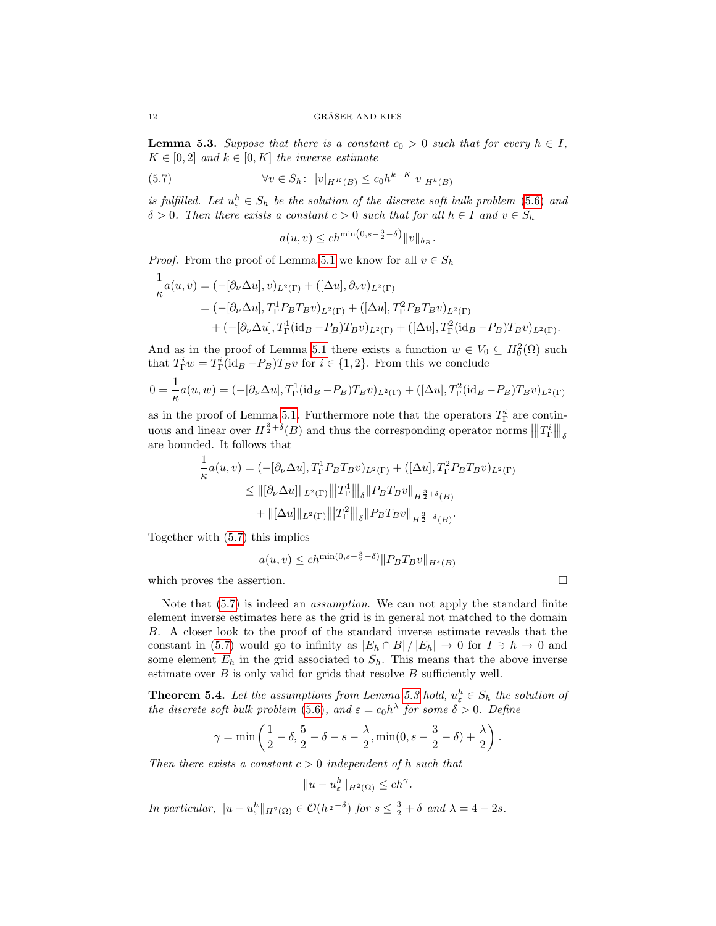**Lemma 5.3.** Suppose that there is a constant  $c_0 > 0$  such that for every  $h \in I$ ,  $K \in [0, 2]$  and  $k \in [0, K]$  the inverse estimate

<span id="page-11-0"></span>
$$
(5.7) \qquad \forall v \in S_h: \ |v|_{H^K(B)} \le c_0 h^{k-K} |v|_{H^k(B)}
$$

is fulfilled. Let  $u_{\varepsilon}^h \in S_h$  be the solution of the discrete soft bulk problem [\(5.6\)](#page-9-1) and  $\delta > 0$ . Then there exists a constant  $c > 0$  such that for all  $h \in I$  and  $v \in S_h$ 

$$
a(u,v) \leq c h^{\min(0,s-\frac{3}{2}-\delta)} \|v\|_{b_B}.
$$

*Proof.* From the proof of Lemma [5.1](#page-9-5) we know for all  $v \in S_h$ 

$$
\frac{1}{\kappa}a(u,v) = (-[\partial_{\nu}\Delta u],v)_{L^{2}(\Gamma)} + ([\Delta u],\partial_{\nu}v)_{L^{2}(\Gamma)}\n= (-[\partial_{\nu}\Delta u],T_{\Gamma}^{1}P_{B}T_{B}v)_{L^{2}(\Gamma)} + ([\Delta u],T_{\Gamma}^{2}P_{B}T_{B}v)_{L^{2}(\Gamma)}\n+ (-[\partial_{\nu}\Delta u],T_{\Gamma}^{1}(\mathrm{id}_{B}-P_{B})T_{B}v)_{L^{2}(\Gamma)} + ([\Delta u],T_{\Gamma}^{2}(\mathrm{id}_{B}-P_{B})T_{B}v)_{L^{2}(\Gamma)}.
$$

And as in the proof of Lemma [5.1](#page-9-5) there exists a function  $w \in V_0 \subseteq H_0^2(\Omega)$  such that  $T_{\Gamma}^i w = T_{\Gamma}^i (\mathrm{id}_B - P_B) T_B v$  for  $i \in \{1, 2\}$ . From this we conclude

$$
0 = \frac{1}{\kappa} a(u, w) = (-[\partial_{\nu} \Delta u], T_{\Gamma}^{1}(\text{id}_{B} - P_{B})T_{B}v)_{L^{2}(\Gamma)} + ([\Delta u], T_{\Gamma}^{2}(\text{id}_{B} - P_{B})T_{B}v)_{L^{2}(\Gamma)}
$$

as in the proof of Lemma [5.1.](#page-9-5) Furthermore note that the operators  $T_{\Gamma}^{i}$  are continuous and linear over  $H^{\frac{3}{2}+\delta}(B)$  and thus the corresponding operator norms  $\|T_{\Gamma}^i\|_{\delta}$ are bounded. It follows that

$$
\frac{1}{\kappa}a(u,v) = (-[\partial_{\nu}\Delta u], T_{\Gamma}^1 P_B T_B v)_{L^2(\Gamma)} + ([\Delta u], T_{\Gamma}^2 P_B T_B v)_{L^2(\Gamma)}\leq ||[\partial_{\nu}\Delta u]||_{L^2(\Gamma)} |||T_{\Gamma}^1|||_{\delta} ||P_B T_B v||_{H^{\frac{3}{2}+\delta}(B)}+\|[\Delta u]||_{L^2(\Gamma)} |||T_{\Gamma}^2|||_{\delta} ||P_B T_B v||_{H^{\frac{3}{2}+\delta}(B)}.
$$

Together with [\(5.7\)](#page-11-0) this implies

$$
a(u,v) \le ch^{\min(0,s-\frac{3}{2}-\delta)} \|P_B T_B v\|_{H^s(B)}
$$

which proves the assertion.  $\Box$ 

Note that [\(5.7\)](#page-11-0) is indeed an assumption. We can not apply the standard finite element inverse estimates here as the grid is in general not matched to the domain B. A closer look to the proof of the standard inverse estimate reveals that the constant in [\(5.7\)](#page-11-0) would go to infinity as  $|E_h \cap B|/|E_h| \to 0$  for  $I \ni h \to 0$  and some element  $E_h$  in the grid associated to  $S_h$ . This means that the above inverse estimate over  $B$  is only valid for grids that resolve  $B$  sufficiently well.

<span id="page-11-1"></span>**Theorem 5.4.** Let the assumptions from Lemma [5.3](#page-10-0) hold,  $u_{\varepsilon}^h \in S_h$  the solution of the discrete soft bulk problem [\(5.6\)](#page-9-1), and  $\varepsilon = c_0 h^{\lambda}$  for some  $\delta > 0$ . Define

$$
\gamma = \min \left( \frac{1}{2} - \delta, \frac{5}{2} - \delta - s - \frac{\lambda}{2}, \min(0, s - \frac{3}{2} - \delta) + \frac{\lambda}{2} \right).
$$

Then there exists a constant  $c > 0$  independent of h such that

$$
||u - u_{\varepsilon}^h||_{H^2(\Omega)} \le ch^\gamma.
$$

In particular,  $||u - u_{\varepsilon}^{h}||_{H^{2}(\Omega)} \in \mathcal{O}(h^{\frac{1}{2}-\delta})$  for  $s \leq \frac{3}{2} + \delta$  and  $\lambda = 4 - 2s$ .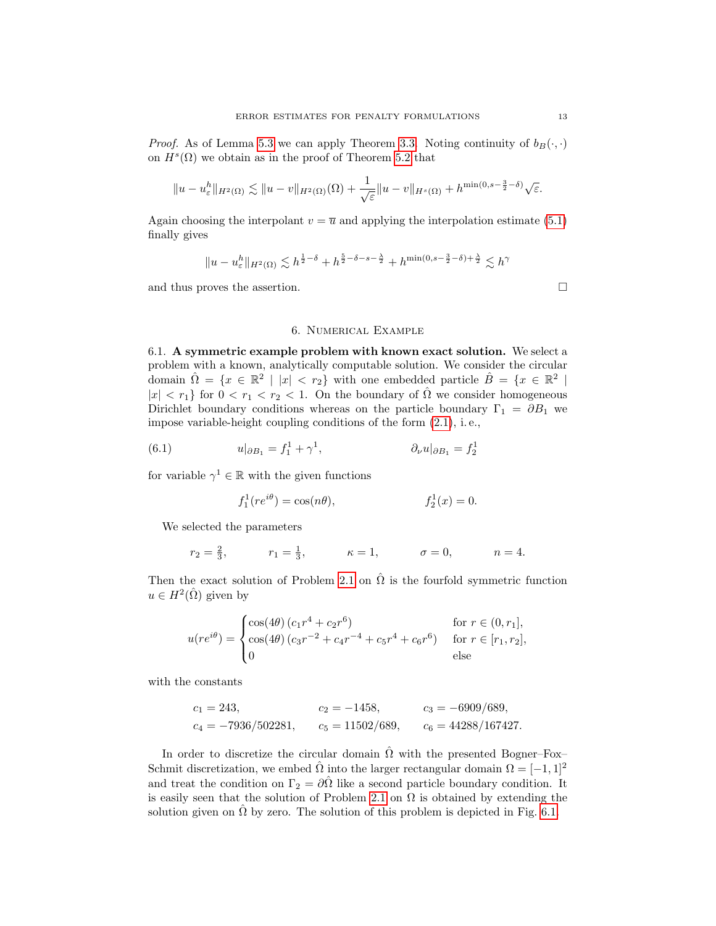*Proof.* As of Lemma [5.3](#page-10-0) we can apply Theorem [3.3.](#page-5-4) Noting continuity of  $b_B(\cdot, \cdot)$ on  $H^s(\Omega)$  we obtain as in the proof of Theorem [5.2](#page-10-1) that

$$
||u - u_{\varepsilon}^h||_{H^2(\Omega)} \lesssim ||u - v||_{H^2(\Omega)}(\Omega) + \frac{1}{\sqrt{\varepsilon}}||u - v||_{H^s(\Omega)} + h^{\min(0, s - \frac{3}{2} - \delta)}\sqrt{\varepsilon}.
$$

Again choosing the interpolant  $v = \overline{u}$  and applying the interpolation estimate [\(5.1\)](#page-8-2) finally gives

$$
||u - u_{\varepsilon}^h||_{H^2(\Omega)} \lesssim h^{\frac{1}{2} - \delta} + h^{\frac{5}{2} - \delta - s - \frac{\lambda}{2}} + h^{\min(0, s - \frac{3}{2} - \delta) + \frac{\lambda}{2}} \lesssim h^{\gamma}
$$

and thus proves the assertion.

## 6. Numerical Example

<span id="page-12-1"></span><span id="page-12-0"></span>6.1. A symmetric example problem with known exact solution. We select a problem with a known, analytically computable solution. We consider the circular domain  $\hat{\Omega} = \{x \in \mathbb{R}^2 \mid |x| < r_2\}$  with one embedded particle  $\hat{B} = \{x \in \mathbb{R}^2 \mid$  $|x| < r_1$  for  $0 < r_1 < r_2 < 1$ . On the boundary of  $\hat{\Omega}$  we consider homogeneous Dirichlet boundary conditions whereas on the particle boundary  $\Gamma_1 = \partial B_1$  we impose variable-height coupling conditions of the form [\(2.1\)](#page-2-3), i. e.,

(6.1) 
$$
u|_{\partial B_1} = f_1^1 + \gamma^1, \qquad \partial_\nu u|_{\partial B_1} = f_2^1
$$

for variable  $\gamma^1 \in \mathbb{R}$  with the given functions

$$
f_1^1(re^{i\theta}) = \cos(n\theta), \qquad f_2^1(x) = 0.
$$

We selected the parameters

$$
r_2 = \frac{2}{3}
$$
,  $r_1 = \frac{1}{3}$ ,  $\kappa = 1$ ,  $\sigma = 0$ ,  $n = 4$ .

Then the exact solution of Problem [2.1](#page-2-1) on  $\hat{\Omega}$  is the fourfold symmetric function  $u \in H^2(\hat{\Omega})$  given by

$$
u(re^{i\theta}) = \begin{cases} \cos(4\theta) (c_1 r^4 + c_2 r^6) & \text{for } r \in (0, r_1], \\ \cos(4\theta) (c_3 r^{-2} + c_4 r^{-4} + c_5 r^4 + c_6 r^6) & \text{for } r \in [r_1, r_2], \\ 0 & \text{else} \end{cases}
$$

with the constants

$$
c_1 = 243,
$$
  $c_2 = -1458,$   $c_3 = -6909/689,$   
\n $c_4 = -7936/502281,$   $c_5 = 11502/689,$   $c_6 = 44288/167427.$ 

In order to discretize the circular domain  $\hat{\Omega}$  with the presented Bogner–Fox– Schmit discretization, we embed  $\hat{\Omega}$  into the larger rectangular domain  $\Omega = [-1, 1]^2$ and treat the condition on  $\Gamma_2 = \partial \hat{\Omega}$  like a second particle boundary condition. It is easily seen that the solution of Problem [2.1](#page-2-1) on  $\Omega$  is obtained by extending the solution given on  $\hat{\Omega}$  by zero. The solution of this problem is depicted in Fig. [6.1.](#page-13-2)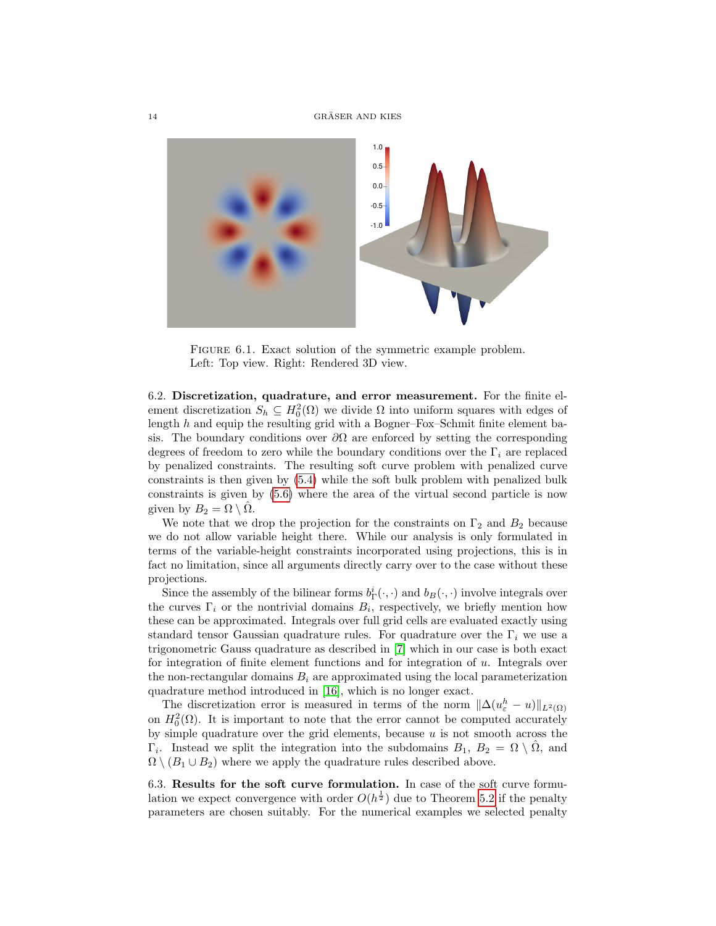

<span id="page-13-2"></span>FIGURE 6.1. Exact solution of the symmetric example problem. Left: Top view. Right: Rendered 3D view.

<span id="page-13-0"></span>6.2. Discretization, quadrature, and error measurement. For the finite element discretization  $S_h \subseteq H_0^2(\Omega)$  we divide  $\Omega$  into uniform squares with edges of length  $h$  and equip the resulting grid with a Bogner–Fox–Schmit finite element basis. The boundary conditions over  $\partial\Omega$  are enforced by setting the corresponding degrees of freedom to zero while the boundary conditions over the  $\Gamma_i$  are replaced by penalized constraints. The resulting soft curve problem with penalized curve constraints is then given by [\(5.4\)](#page-9-0) while the soft bulk problem with penalized bulk constraints is given by [\(5.6\)](#page-9-1) where the area of the virtual second particle is now given by  $B_2 = \Omega \setminus \overline{\Omega}$ .

We note that we drop the projection for the constraints on  $\Gamma_2$  and  $B_2$  because we do not allow variable height there. While our analysis is only formulated in terms of the variable-height constraints incorporated using projections, this is in fact no limitation, since all arguments directly carry over to the case without these projections.

Since the assembly of the bilinear forms  $b_{\Gamma}^{i}(\cdot,\cdot)$  and  $b_{B}(\cdot,\cdot)$  involve integrals over the curves  $\Gamma_i$  or the nontrivial domains  $B_i$ , respectively, we briefly mention how these can be approximated. Integrals over full grid cells are evaluated exactly using standard tensor Gaussian quadrature rules. For quadrature over the  $\Gamma_i$  we use a trigonometric Gauss quadrature as described in [\[7\]](#page-19-9) which in our case is both exact for integration of finite element functions and for integration of  $u$ . Integrals over the non-rectangular domains  $B_i$  are approximated using the local parameterization quadrature method introduced in [\[16\]](#page-19-10), which is no longer exact.

The discretization error is measured in terms of the norm  $\|\Delta(u_{\varepsilon}^h - u)\|_{L^2(\Omega)}$ on  $H_0^2(\Omega)$ . It is important to note that the error cannot be computed accurately by simple quadrature over the grid elements, because  $u$  is not smooth across the  $\Gamma_i$ . Instead we split the integration into the subdomains  $B_1, B_2 = \Omega \setminus \hat{\Omega}$ , and  $\Omega \setminus (B_1 \cup B_2)$  where we apply the quadrature rules described above.

<span id="page-13-1"></span>6.3. Results for the soft curve formulation. In case of the soft curve formulation we expect convergence with order  $O(h^{\frac{1}{2}})$  due to Theorem [5.2](#page-10-1) if the penalty parameters are chosen suitably. For the numerical examples we selected penalty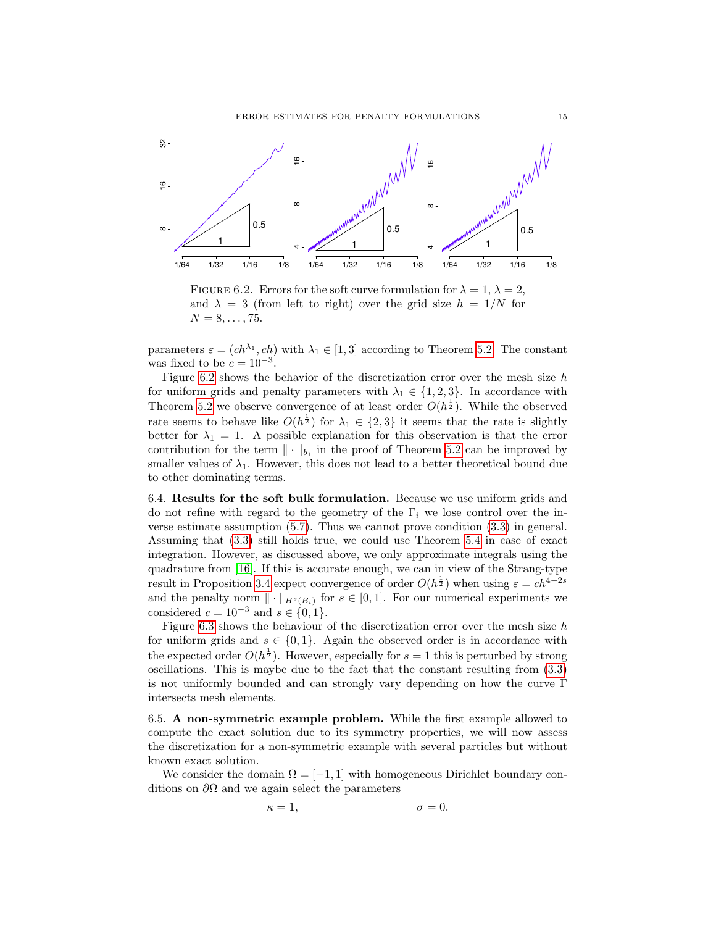

<span id="page-14-2"></span>FIGURE 6.2. Errors for the soft curve formulation for  $\lambda = 1, \lambda = 2$ , and  $\lambda = 3$  (from left to right) over the grid size  $h = 1/N$  for  $N = 8, \ldots, 75.$ 

parameters  $\varepsilon = (ch^{\lambda_1}, ch)$  with  $\lambda_1 \in [1, 3]$  according to Theorem [5.2.](#page-10-1) The constant was fixed to be  $c = 10^{-3}$ .

Figure [6.2](#page-14-2) shows the behavior of the discretization error over the mesh size  $h$ for uniform grids and penalty parameters with  $\lambda_1 \in \{1, 2, 3\}$ . In accordance with Theorem [5.2](#page-10-1) we observe convergence of at least order  $O(h^{\frac{1}{2}})$ . While the observed rate seems to behave like  $O(h^{\frac{1}{2}})$  for  $\lambda_1 \in \{2,3\}$  it seems that the rate is slightly better for  $\lambda_1 = 1$ . A possible explanation for this observation is that the error contribution for the term  $\|\cdot\|_{b_1}$  in the proof of Theorem [5.2](#page-10-1) can be improved by smaller values of  $\lambda_1$ . However, this does not lead to a better theoretical bound due to other dominating terms.

<span id="page-14-0"></span>6.4. Results for the soft bulk formulation. Because we use uniform grids and do not refine with regard to the geometry of the  $\Gamma_i$  we lose control over the inverse estimate assumption [\(5.7\)](#page-11-0). Thus we cannot prove condition [\(3.3\)](#page-5-5) in general. Assuming that [\(3.3\)](#page-5-5) still holds true, we could use Theorem [5.4](#page-11-1) in case of exact integration. However, as discussed above, we only approximate integrals using the quadrature from [\[16\]](#page-19-10). If this is accurate enough, we can in view of the Strang-type result in Proposition [3.4](#page-6-1) expect convergence of order  $O(h^{\frac{1}{2}})$  when using  $\varepsilon = ch^{4-2s}$ and the penalty norm  $\|\cdot\|_{H^s(B_i)}$  for  $s \in [0,1]$ . For our numerical experiments we considered  $c = 10^{-3}$  and  $s \in \{0, 1\}.$ 

Figure [6.3](#page-15-0) shows the behaviour of the discretization error over the mesh size  $h$ for uniform grids and  $s \in \{0,1\}$ . Again the observed order is in accordance with the expected order  $O(h^{\frac{1}{2}})$ . However, especially for  $s = 1$  this is perturbed by strong oscillations. This is maybe due to the fact that the constant resulting from [\(3.3\)](#page-5-5) is not uniformly bounded and can strongly vary depending on how the curve  $\Gamma$ intersects mesh elements.

<span id="page-14-1"></span>6.5. A non-symmetric example problem. While the first example allowed to compute the exact solution due to its symmetry properties, we will now assess the discretization for a non-symmetric example with several particles but without known exact solution.

We consider the domain  $\Omega = [-1, 1]$  with homogeneous Dirichlet boundary conditions on  $\partial\Omega$  and we again select the parameters

$$
\kappa = 1, \qquad \sigma = 0.
$$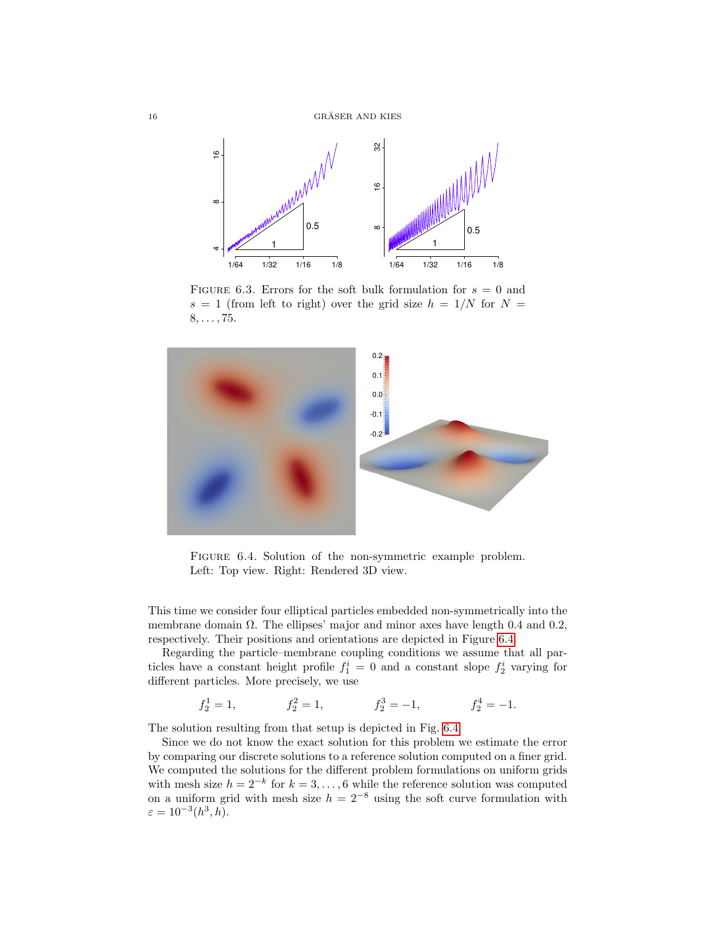

<span id="page-15-0"></span>FIGURE 6.3. Errors for the soft bulk formulation for  $s = 0$  and  $s = 1$  (from left to right) over the grid size  $h = 1/N$  for  $N =$  $8, \ldots, 75.$ 



<span id="page-15-1"></span>FIGURE 6.4. Solution of the non-symmetric example problem. Left: Top view. Right: Rendered 3D view.

This time we consider four elliptical particles embedded non-symmetrically into the membrane domain  $\Omega$ . The ellipses' major and minor axes have length 0.4 and 0.2, respectively. Their positions and orientations are depicted in Figure [6.4.](#page-15-1)

Regarding the particle–membrane coupling conditions we assume that all particles have a constant height profile  $f_1^i = 0$  and a constant slope  $f_2^i$  varying for different particles. More precisely, we use

$$
f_2^1 = 1,
$$
  $f_2^2 = 1,$   $f_2^3 = -1,$   $f_2^4 = -1.$ 

The solution resulting from that setup is depicted in Fig. [6.4.](#page-15-1)

Since we do not know the exact solution for this problem we estimate the error by comparing our discrete solutions to a reference solution computed on a finer grid. We computed the solutions for the different problem formulations on uniform grids with mesh size  $h = 2^{-k}$  for  $k = 3, \ldots, 6$  while the reference solution was computed on a uniform grid with mesh size  $h = 2^{-8}$  using the soft curve formulation with  $\varepsilon = 10^{-3}(h^3, h).$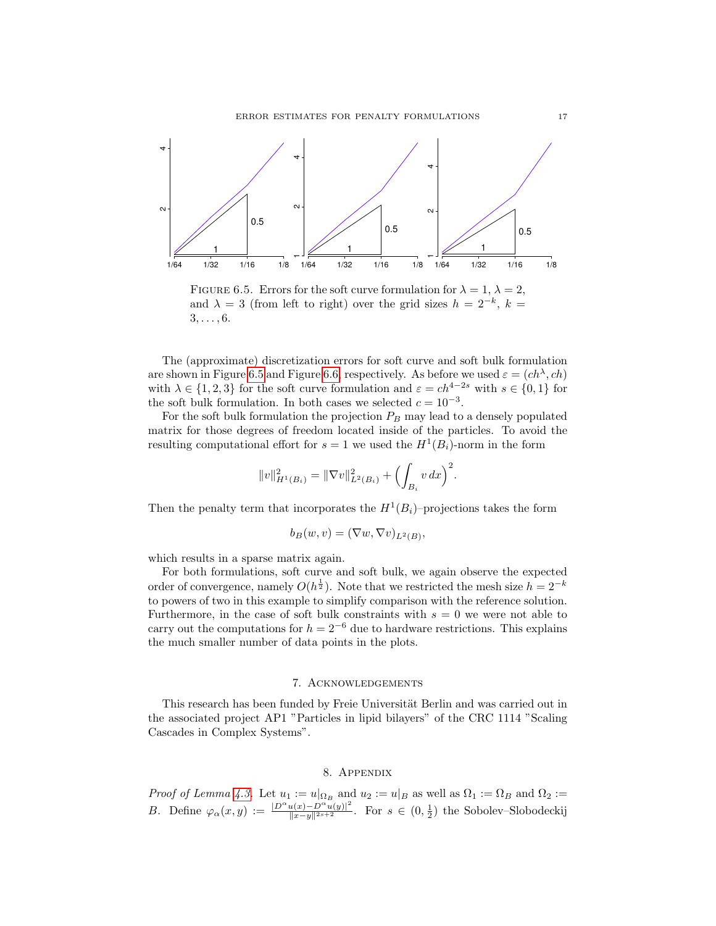

<span id="page-16-2"></span>FIGURE 6.5. Errors for the soft curve formulation for  $\lambda = 1, \lambda = 2$ , and  $\lambda = 3$  (from left to right) over the grid sizes  $h = 2^{-k}$ ,  $k =$  $3, \ldots, 6$ .

The (approximate) discretization errors for soft curve and soft bulk formulation are shown in Figure [6.5](#page-16-2) and Figure [6.6,](#page-17-0) respectively. As before we used  $\varepsilon = (ch^{\lambda}, ch)$ with  $\lambda \in \{1, 2, 3\}$  for the soft curve formulation and  $\varepsilon = ch^{4-2s}$  with  $s \in \{0, 1\}$  for the soft bulk formulation. In both cases we selected  $c = 10^{-3}$ .

For the soft bulk formulation the projection  $P_B$  may lead to a densely populated matrix for those degrees of freedom located inside of the particles. To avoid the resulting computational effort for  $s = 1$  we used the  $H^1(B_i)$ -norm in the form

$$
||v||_{H^1(B_i)}^2 = ||\nabla v||_{L^2(B_i)}^2 + \left(\int_{B_i} v \, dx\right)^2.
$$

Then the penalty term that incorporates the  $H^1(B_i)$ -projections takes the form

$$
b_B(w, v) = (\nabla w, \nabla v)_{L^2(B)},
$$

which results in a sparse matrix again.

For both formulations, soft curve and soft bulk, we again observe the expected order of convergence, namely  $O(h^{\frac{1}{2}})$ . Note that we restricted the mesh size  $h = 2^{-k}$ to powers of two in this example to simplify comparison with the reference solution. Furthermore, in the case of soft bulk constraints with  $s = 0$  we were not able to carry out the computations for  $h = 2^{-6}$  due to hardware restrictions. This explains the much smaller number of data points in the plots.

## 7. Acknowledgements

<span id="page-16-0"></span>This research has been funded by Freie Universität Berlin and was carried out in the associated project AP1 "Particles in lipid bilayers" of the CRC 1114 "Scaling Cascades in Complex Systems".

# 8. Appendix

<span id="page-16-1"></span>*Proof of Lemma [4.3.](#page-7-4)* Let  $u_1 := u|_{\Omega_B}$  and  $u_2 := u|_B$  as well as  $\Omega_1 := \Omega_B$  and  $\Omega_2 :=$ B. Define  $\varphi_\alpha(x,y) := \frac{|D^\alpha u(x)-D^\alpha u(y)|^2}{\|x-y\|^{2s+2}}$ . For  $s \in (0, \frac{1}{2})$  the Sobolev–Slobodeckij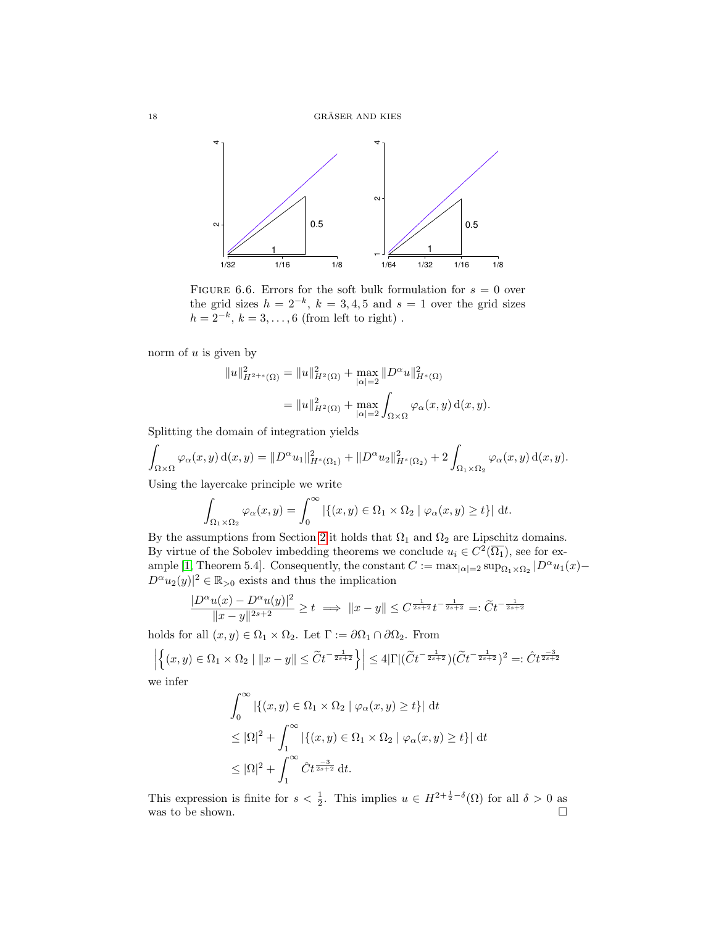

<span id="page-17-0"></span>FIGURE 6.6. Errors for the soft bulk formulation for  $s = 0$  over the grid sizes  $h = 2^{-k}$ ,  $k = 3, 4, 5$  and  $s = 1$  over the grid sizes  $h = 2^{-k}, k = 3, \ldots, 6$  (from left to right).

norm of  $u$  is given by

$$
||u||_{H^{2+s}(\Omega)}^2 = ||u||_{H^2(\Omega)}^2 + \max_{|\alpha|=2} ||D^{\alpha}u||_{H^s(\Omega)}^2
$$
  
= 
$$
||u||_{H^2(\Omega)}^2 + \max_{|\alpha|=2} \int_{\Omega \times \Omega} \varphi_\alpha(x, y) d(x, y).
$$

Splitting the domain of integration yields

$$
\int_{\Omega \times \Omega} \varphi_{\alpha}(x, y) d(x, y) = ||D^{\alpha} u_1||_{H^s(\Omega_1)}^2 + ||D^{\alpha} u_2||_{H^s(\Omega_2)}^2 + 2 \int_{\Omega_1 \times \Omega_2} \varphi_{\alpha}(x, y) d(x, y).
$$

Using the layercake principle we write

$$
\int_{\Omega_1 \times \Omega_2} \varphi_\alpha(x, y) = \int_0^\infty \left| \{ (x, y) \in \Omega_1 \times \Omega_2 \mid \varphi_\alpha(x, y) \ge t \} \right| \, \mathrm{d}t.
$$

By the assumptions from Section [2](#page-2-0) it holds that  $\Omega_1$  and  $\Omega_2$  are Lipschitz domains. By virtue of the Sobolev imbedding theorems we conclude  $u_i \in C^2(\overline{\Omega_1})$ , see for ex-ample [\[1,](#page-18-6) Theorem 5.4]. Consequently, the constant  $C := \max_{|\alpha|=2} \sup_{\Omega_1 \times \Omega_2} |D^{\alpha} u_1(x) D^{\alpha}u_2(y)|^2 \in \mathbb{R}_{>0}$  exists and thus the implication

$$
\frac{|D^\alpha u(x)-D^\alpha u(y)|^2}{\|x-y\|^{2s+2}}\geq t\implies \|x-y\|\leq C^{\frac{1}{2s+2}}t^{-\frac{1}{2s+2}}=:\widetilde Ct^{-\frac{1}{2s+2}}
$$

holds for all  $(x, y) \in \Omega_1 \times \Omega_2$ . Let  $\Gamma := \partial \Omega_1 \cap \partial \Omega_2$ . From

$$
\left| \left\{ (x,y) \in \Omega_1 \times \Omega_2 \mid \|x - y\| \le \widetilde{C} t^{-\frac{1}{2s+2}} \right\} \right| \le 4|\Gamma|(\widetilde{C} t^{-\frac{1}{2s+2}})(\widetilde{C} t^{-\frac{1}{2s+2}})^2 =: \widetilde{C} t^{\frac{-3}{2s+2}}
$$
 we infer

we infer

$$
\int_0^\infty \left| \left\{ (x, y) \in \Omega_1 \times \Omega_2 \mid \varphi_\alpha(x, y) \ge t \right\} \right| \, \mathrm{d}t
$$
  
\n
$$
\le |\Omega|^2 + \int_1^\infty \left| \left\{ (x, y) \in \Omega_1 \times \Omega_2 \mid \varphi_\alpha(x, y) \ge t \right\} \right| \, \mathrm{d}t
$$
  
\n
$$
\le |\Omega|^2 + \int_1^\infty \hat{C} t^{\frac{-3}{2s+2}} \, \mathrm{d}t.
$$

This expression is finite for  $s < \frac{1}{2}$ . This implies  $u \in H^{2+\frac{1}{2}-\delta}(\Omega)$  for all  $\delta > 0$  as was to be shown.  $\hfill \square$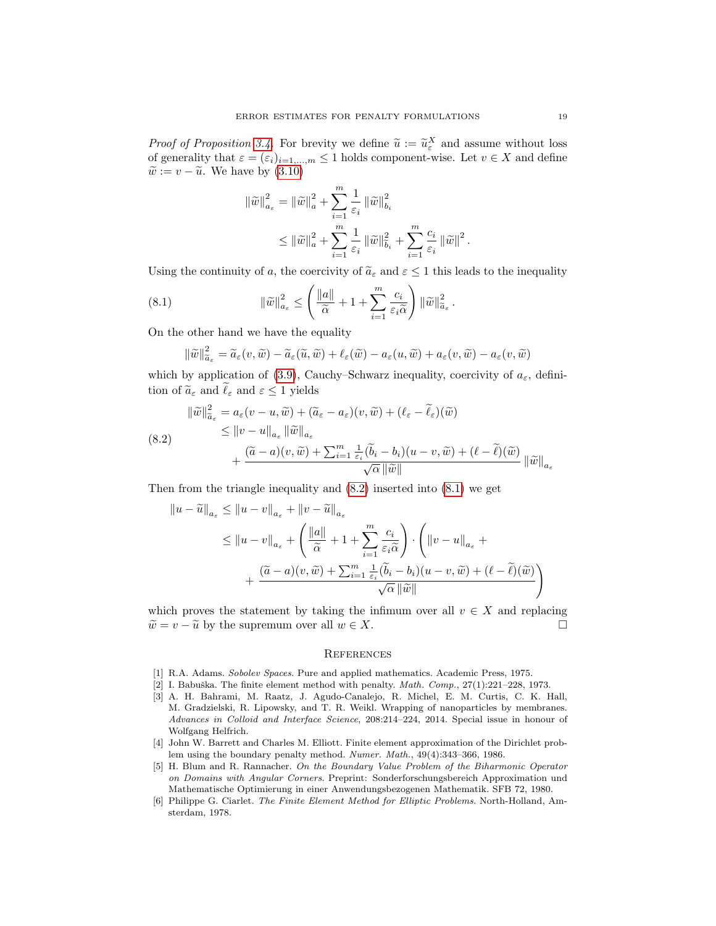*Proof of Proposition [3.4.](#page-6-1)* For brevity we define  $\tilde{u} := \tilde{u}_\varepsilon^X$  and assume without loss of generality that  $\varepsilon = (\varepsilon)$ . of generality that  $\varepsilon = (\varepsilon_i)_{i=1,\dots,m} \le 1$  holds component-wise. Let  $v \in X$  and define  $\widetilde{w} := v - \widetilde{u}$ . We have by  $(3.10)$ 

$$
\begin{split} \left\|\tilde{w}\right\|_{a_{\varepsilon}}^{2}&=\left\|\tilde{w}\right\|_{a}^{2}+\sum_{i=1}^{m}\frac{1}{\varepsilon_{i}}\left\|\tilde{w}\right\|_{b_{i}}^{2}\\ &\leq\left\|\tilde{w}\right\|_{a}^{2}+\sum_{i=1}^{m}\frac{1}{\varepsilon_{i}}\left\|\tilde{w}\right\|_{\tilde{b}_{i}}^{2}+\sum_{i=1}^{m}\frac{c_{i}}{\varepsilon_{i}}\left\|\tilde{w}\right\|^{2}.\end{split}
$$

Using the continuity of a, the coercivity of  $\tilde{a}_{\varepsilon}$  and  $\varepsilon \leq 1$  this leads to the inequality

<span id="page-18-8"></span>(8.1) 
$$
\|\widetilde{w}\|_{a_{\varepsilon}}^2 \leq \left(\frac{\|a\|}{\widetilde{\alpha}} + 1 + \sum_{i=1}^m \frac{c_i}{\varepsilon_i \widetilde{\alpha}}\right) \|\widetilde{w}\|_{\widetilde{a}_{\varepsilon}}^2.
$$

On the other hand we have the equality

$$
\|\widetilde{w}\|_{\widetilde{a}_{\varepsilon}}^2 = \widetilde{a}_{\varepsilon}(v, \widetilde{w}) - \widetilde{a}_{\varepsilon}(\widetilde{u}, \widetilde{w}) + \ell_{\varepsilon}(\widetilde{w}) - a_{\varepsilon}(u, \widetilde{w}) + a_{\varepsilon}(v, \widetilde{w}) - a_{\varepsilon}(v, \widetilde{w})
$$

which by application of [\(3.9\)](#page-6-3), Cauchy–Schwarz inequality, coercivity of  $a_{\varepsilon}$ , definition of  $\widetilde{a}_{\varepsilon}$  and  $\widetilde{\ell}_{\varepsilon}$  and  $\varepsilon \leq 1$  yields

<span id="page-18-7"></span>
$$
\|\widetilde{w}\|_{\widetilde{a}_{\varepsilon}}^{2} = a_{\varepsilon}(v - u, \widetilde{w}) + (\widetilde{a}_{\varepsilon} - a_{\varepsilon})(v, \widetilde{w}) + (\ell_{\varepsilon} - \widetilde{\ell}_{\varepsilon})(\widetilde{w})
$$
  
\n
$$
\leq \|v - u\|_{a_{\varepsilon}} \|\widetilde{w}\|_{a_{\varepsilon}}
$$
  
\n
$$
+ \frac{(\widetilde{a} - a)(v, \widetilde{w}) + \sum_{i=1}^{m} \frac{1}{\varepsilon_{i}} (\widetilde{b}_{i} - b_{i})(u - v, \widetilde{w}) + (\ell - \widetilde{\ell})(\widetilde{w})}{\sqrt{\alpha} \|\widetilde{w}\|} \|\widetilde{w}\|_{a_{\varepsilon}}
$$

Then from the triangle inequality and [\(8.2\)](#page-18-7) inserted into [\(8.1\)](#page-18-8) we get

$$
||u - \widetilde{u}||_{a_{\varepsilon}} \le ||u - v||_{a_{\varepsilon}} + ||v - \widetilde{u}||_{a_{\varepsilon}}
$$
  
\n
$$
\le ||u - v||_{a_{\varepsilon}} + \left(\frac{||a||}{\widetilde{\alpha}} + 1 + \sum_{i=1}^{m} \frac{c_i}{\varepsilon_i \widetilde{\alpha}}\right) \cdot \left(||v - u||_{a_{\varepsilon}} + \frac{(\widetilde{a} - a)(v, \widetilde{w}) + \sum_{i=1}^{m} \frac{1}{\varepsilon_i} (\widetilde{b}_i - b_i)(u - v, \widetilde{w}) + (\ell - \widetilde{\ell})(\widetilde{w})}{\sqrt{\alpha} ||\widetilde{w}||}\right)
$$

which proves the statement by taking the infimum over all  $v \in X$  and replacing  $\widetilde{w} = v - \widetilde{u}$  by the supremum over all  $w \in X$ .

## <span id="page-18-0"></span>**REFERENCES**

- <span id="page-18-6"></span>[1] R.A. Adams. Sobolev Spaces. Pure and applied mathematics. Academic Press, 1975.
- <span id="page-18-2"></span>[2] I. Babuška. The finite element method with penalty.  $Math.$   $Comp., 27(1):221-228, 1973.$
- <span id="page-18-1"></span>[3] A. H. Bahrami, M. Raatz, J. Agudo-Canalejo, R. Michel, E. M. Curtis, C. K. Hall, M. Gradzielski, R. Lipowsky, and T. R. Weikl. Wrapping of nanoparticles by membranes. Advances in Colloid and Interface Science, 208:214–224, 2014. Special issue in honour of Wolfgang Helfrich.
- <span id="page-18-3"></span>[4] John W. Barrett and Charles M. Elliott. Finite element approximation of the Dirichlet problem using the boundary penalty method. Numer. Math., 49(4):343–366, 1986.
- <span id="page-18-4"></span>[5] H. Blum and R. Rannacher. On the Boundary Value Problem of the Biharmonic Operator on Domains with Angular Corners. Preprint: Sonderforschungsbereich Approximation und Mathematische Optimierung in einer Anwendungsbezogenen Mathematik. SFB 72, 1980.
- <span id="page-18-5"></span>[6] Philippe G. Ciarlet. The Finite Element Method for Elliptic Problems. North-Holland, Amsterdam, 1978.